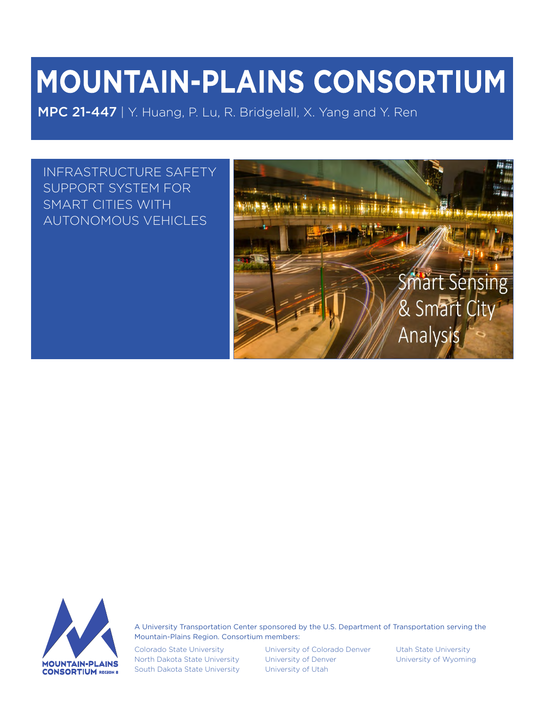# **MOUNTAIN-PLAINS CONSORTIUM**

MPC 21-447 | Y. Huang, P. Lu, R. Bridgelall, X. Yang and Y. Ren

INFRASTRUCTURE SAFETY SUPPORT SYSTEM FOR SMART CITIES WITH AUTONOMOUS VEHICLES





A University Transportation Center sponsored by the U.S. Department of Transportation serving the Mountain-Plains Region. Consortium members:

Colorado State University North Dakota State University South Dakota State University University of Colorado Denver University of Denver University of Utah

Utah State University University of Wyoming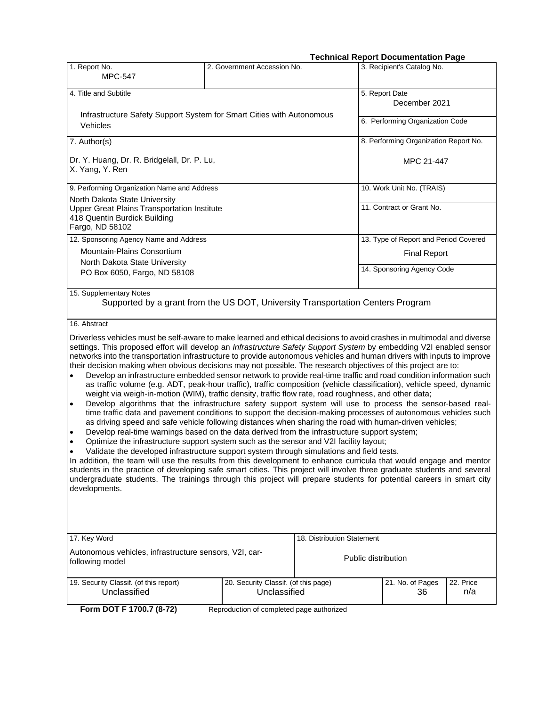#### **Technical Report Documentation Page**

| 1. Report No.                                                                                                                                                                                                                                                                                                                                                                                                                                                                                                                                                                                                                                                                                                                                                                                                                                                                                                                                                                                                                                                                                                                                                                                                                                                                                                                                                                                                                                        | 2. Government Accession No.                          | TYVIIIIVALIVY              | 3. Recipient's Catalog No.                                                                                                                                                                                                                                                                                                                                                                                                                                                   |
|------------------------------------------------------------------------------------------------------------------------------------------------------------------------------------------------------------------------------------------------------------------------------------------------------------------------------------------------------------------------------------------------------------------------------------------------------------------------------------------------------------------------------------------------------------------------------------------------------------------------------------------------------------------------------------------------------------------------------------------------------------------------------------------------------------------------------------------------------------------------------------------------------------------------------------------------------------------------------------------------------------------------------------------------------------------------------------------------------------------------------------------------------------------------------------------------------------------------------------------------------------------------------------------------------------------------------------------------------------------------------------------------------------------------------------------------------|------------------------------------------------------|----------------------------|------------------------------------------------------------------------------------------------------------------------------------------------------------------------------------------------------------------------------------------------------------------------------------------------------------------------------------------------------------------------------------------------------------------------------------------------------------------------------|
| <b>MPC-547</b>                                                                                                                                                                                                                                                                                                                                                                                                                                                                                                                                                                                                                                                                                                                                                                                                                                                                                                                                                                                                                                                                                                                                                                                                                                                                                                                                                                                                                                       |                                                      |                            |                                                                                                                                                                                                                                                                                                                                                                                                                                                                              |
| 4. Title and Subtitle                                                                                                                                                                                                                                                                                                                                                                                                                                                                                                                                                                                                                                                                                                                                                                                                                                                                                                                                                                                                                                                                                                                                                                                                                                                                                                                                                                                                                                |                                                      |                            | 5. Report Date<br>December 2021                                                                                                                                                                                                                                                                                                                                                                                                                                              |
| Infrastructure Safety Support System for Smart Cities with Autonomous<br>Vehicles                                                                                                                                                                                                                                                                                                                                                                                                                                                                                                                                                                                                                                                                                                                                                                                                                                                                                                                                                                                                                                                                                                                                                                                                                                                                                                                                                                    |                                                      |                            | 6. Performing Organization Code                                                                                                                                                                                                                                                                                                                                                                                                                                              |
|                                                                                                                                                                                                                                                                                                                                                                                                                                                                                                                                                                                                                                                                                                                                                                                                                                                                                                                                                                                                                                                                                                                                                                                                                                                                                                                                                                                                                                                      |                                                      |                            |                                                                                                                                                                                                                                                                                                                                                                                                                                                                              |
| 7. Author(s)                                                                                                                                                                                                                                                                                                                                                                                                                                                                                                                                                                                                                                                                                                                                                                                                                                                                                                                                                                                                                                                                                                                                                                                                                                                                                                                                                                                                                                         |                                                      |                            | 8. Performing Organization Report No.                                                                                                                                                                                                                                                                                                                                                                                                                                        |
| Dr. Y. Huang, Dr. R. Bridgelall, Dr. P. Lu,<br>X. Yang, Y. Ren                                                                                                                                                                                                                                                                                                                                                                                                                                                                                                                                                                                                                                                                                                                                                                                                                                                                                                                                                                                                                                                                                                                                                                                                                                                                                                                                                                                       |                                                      |                            | MPC 21-447                                                                                                                                                                                                                                                                                                                                                                                                                                                                   |
| 9. Performing Organization Name and Address                                                                                                                                                                                                                                                                                                                                                                                                                                                                                                                                                                                                                                                                                                                                                                                                                                                                                                                                                                                                                                                                                                                                                                                                                                                                                                                                                                                                          |                                                      |                            | 10. Work Unit No. (TRAIS)                                                                                                                                                                                                                                                                                                                                                                                                                                                    |
| North Dakota State University<br><b>Upper Great Plains Transportation Institute</b><br>418 Quentin Burdick Building<br>Fargo, ND 58102                                                                                                                                                                                                                                                                                                                                                                                                                                                                                                                                                                                                                                                                                                                                                                                                                                                                                                                                                                                                                                                                                                                                                                                                                                                                                                               |                                                      |                            | 11. Contract or Grant No.                                                                                                                                                                                                                                                                                                                                                                                                                                                    |
| 12. Sponsoring Agency Name and Address                                                                                                                                                                                                                                                                                                                                                                                                                                                                                                                                                                                                                                                                                                                                                                                                                                                                                                                                                                                                                                                                                                                                                                                                                                                                                                                                                                                                               |                                                      |                            | 13. Type of Report and Period Covered                                                                                                                                                                                                                                                                                                                                                                                                                                        |
| Mountain-Plains Consortium                                                                                                                                                                                                                                                                                                                                                                                                                                                                                                                                                                                                                                                                                                                                                                                                                                                                                                                                                                                                                                                                                                                                                                                                                                                                                                                                                                                                                           |                                                      |                            | <b>Final Report</b>                                                                                                                                                                                                                                                                                                                                                                                                                                                          |
| North Dakota State University<br>PO Box 6050, Fargo, ND 58108                                                                                                                                                                                                                                                                                                                                                                                                                                                                                                                                                                                                                                                                                                                                                                                                                                                                                                                                                                                                                                                                                                                                                                                                                                                                                                                                                                                        |                                                      |                            | 14. Sponsoring Agency Code                                                                                                                                                                                                                                                                                                                                                                                                                                                   |
| 15. Supplementary Notes<br>Supported by a grant from the US DOT, University Transportation Centers Program                                                                                                                                                                                                                                                                                                                                                                                                                                                                                                                                                                                                                                                                                                                                                                                                                                                                                                                                                                                                                                                                                                                                                                                                                                                                                                                                           |                                                      |                            |                                                                                                                                                                                                                                                                                                                                                                                                                                                                              |
| 16. Abstract                                                                                                                                                                                                                                                                                                                                                                                                                                                                                                                                                                                                                                                                                                                                                                                                                                                                                                                                                                                                                                                                                                                                                                                                                                                                                                                                                                                                                                         |                                                      |                            |                                                                                                                                                                                                                                                                                                                                                                                                                                                                              |
| Driverless vehicles must be self-aware to make learned and ethical decisions to avoid crashes in multimodal and diverse<br>settings. This proposed effort will develop an Infrastructure Safety Support System by embedding V2I enabled sensor<br>networks into the transportation infrastructure to provide autonomous vehicles and human drivers with inputs to improve<br>their decision making when obvious decisions may not possible. The research objectives of this project are to:<br>weight via weigh-in-motion (WIM), traffic density, traffic flow rate, road roughness, and other data;<br>$\bullet$<br>as driving speed and safe vehicle following distances when sharing the road with human-driven vehicles;<br>Develop real-time warnings based on the data derived from the infrastructure support system;<br>$\bullet$<br>Optimize the infrastructure support system such as the sensor and V2I facility layout;<br>$\bullet$<br>Validate the developed infrastructure support system through simulations and field tests.<br>$\bullet$<br>In addition, the team will use the results from this development to enhance curricula that would engage and mentor<br>students in the practice of developing safe smart cities. This project will involve three graduate students and several<br>undergraduate students. The trainings through this project will prepare students for potential careers in smart city<br>developments. |                                                      |                            | Develop an infrastructure embedded sensor network to provide real-time traffic and road condition information such<br>as traffic volume (e.g. ADT, peak-hour traffic), traffic composition (vehicle classification), vehicle speed, dynamic<br>Develop algorithms that the infrastructure safety support system will use to process the sensor-based real-<br>time traffic data and pavement conditions to support the decision-making processes of autonomous vehicles such |
| 17. Key Word                                                                                                                                                                                                                                                                                                                                                                                                                                                                                                                                                                                                                                                                                                                                                                                                                                                                                                                                                                                                                                                                                                                                                                                                                                                                                                                                                                                                                                         |                                                      | 18. Distribution Statement |                                                                                                                                                                                                                                                                                                                                                                                                                                                                              |
| Autonomous vehicles, infrastructure sensors, V2I, car-<br>following model                                                                                                                                                                                                                                                                                                                                                                                                                                                                                                                                                                                                                                                                                                                                                                                                                                                                                                                                                                                                                                                                                                                                                                                                                                                                                                                                                                            |                                                      |                            | Public distribution                                                                                                                                                                                                                                                                                                                                                                                                                                                          |
| 19. Security Classif. (of this report)<br>Unclassified                                                                                                                                                                                                                                                                                                                                                                                                                                                                                                                                                                                                                                                                                                                                                                                                                                                                                                                                                                                                                                                                                                                                                                                                                                                                                                                                                                                               | 20. Security Classif. (of this page)<br>Unclassified |                            | 21. No. of Pages<br>22. Price<br>36<br>n/a                                                                                                                                                                                                                                                                                                                                                                                                                                   |
| Form DOT F 1700.7 (8-72)                                                                                                                                                                                                                                                                                                                                                                                                                                                                                                                                                                                                                                                                                                                                                                                                                                                                                                                                                                                                                                                                                                                                                                                                                                                                                                                                                                                                                             | Reproduction of completed page authorized            |                            |                                                                                                                                                                                                                                                                                                                                                                                                                                                                              |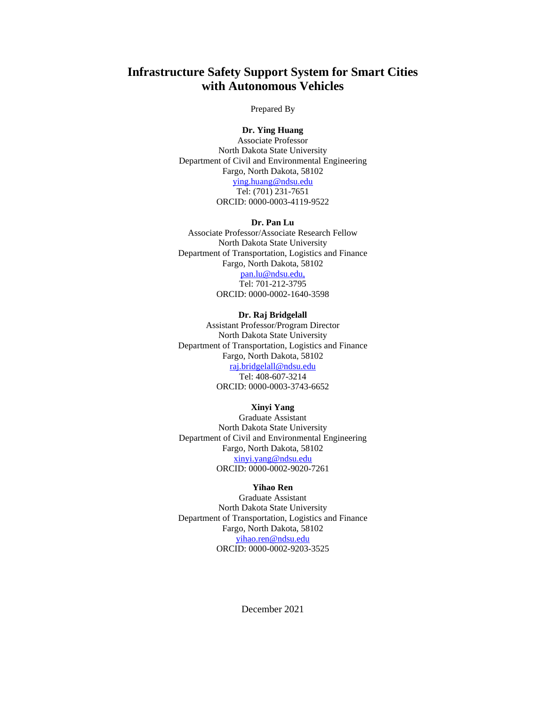## **Infrastructure Safety Support System for Smart Cities with Autonomous Vehicles**

#### Prepared By

#### **Dr. Ying Huang**

Associate Professor North Dakota State University Department of Civil and Environmental Engineering Fargo, North Dakota, 58102 [ying.huang@ndsu.edu](mailto:ying.huang@ndsu.edu) Tel: (701) 231-7651 ORCID: 0000-0003-4119-9522

#### **Dr. Pan Lu**

Associate Professor/Associate Research Fellow North Dakota State University Department of Transportation, Logistics and Finance Fargo, North Dakota, 58102 [pan.lu@ndsu.edu,](mailto:pan.lu@ndsu.edu) Tel: 701-212-3795 ORCID: 0000-0002-1640-3598

#### **Dr. Raj Bridgelall**

Assistant Professor/Program Director North Dakota State University Department of Transportation, Logistics and Finance Fargo, North Dakota, 58102 [raj.bridgelall@ndsu.edu](mailto:Raj.bridgelall@ndsu.edu) Tel: 408-607-3214 ORCID: 0000-0003-3743-6652

#### **Xinyi Yang**

Graduate Assistant North Dakota State University Department of Civil and Environmental Engineering Fargo, North Dakota, 58102 [xinyi.yang@ndsu.edu](mailto:xinyi.yang@ndsu.edu) ORCID: 0000-0002-9020-7261

#### **Yihao Ren**

Graduate Assistant North Dakota State University Department of Transportation, Logistics and Finance Fargo, North Dakota, 58102 [yihao.ren@ndsu.edu](mailto:yihao.ren@ndsu.edu) ORCID: 0000-0002-9203-3525

December 2021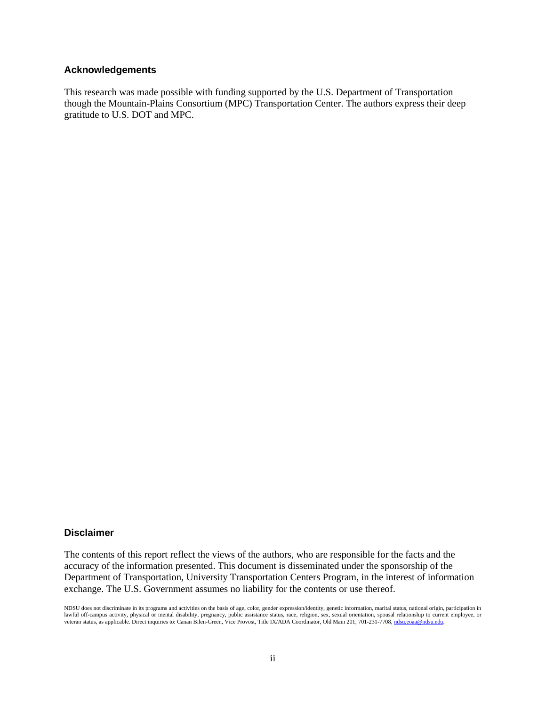#### **Acknowledgements**

This research was made possible with funding supported by the U.S. Department of Transportation though the Mountain-Plains Consortium (MPC) Transportation Center. The authors express their deep gratitude to U.S. DOT and MPC.

#### **Disclaimer**

The contents of this report reflect the views of the authors, who are responsible for the facts and the accuracy of the information presented. This document is disseminated under the sponsorship of the Department of Transportation, University Transportation Centers Program, in the interest of information exchange. The U.S. Government assumes no liability for the contents or use thereof.

NDSU does not discriminate in its programs and activities on the basis of age, color, gender expression/identity, genetic information, marital status, national origin, participation in lawful off-campus activity, physical or mental disability, pregnancy, public assistance status, race, religion, sex, sexual orientation, spousal relationship to current employee, or veteran status, as applicable. Direct inquiries to: Canan Bilen-Green, Vice Provost, Title IX/ADA Coordinator, Old Main 201, 701-231-7708, ndsu.eoaa@ndsu.edu.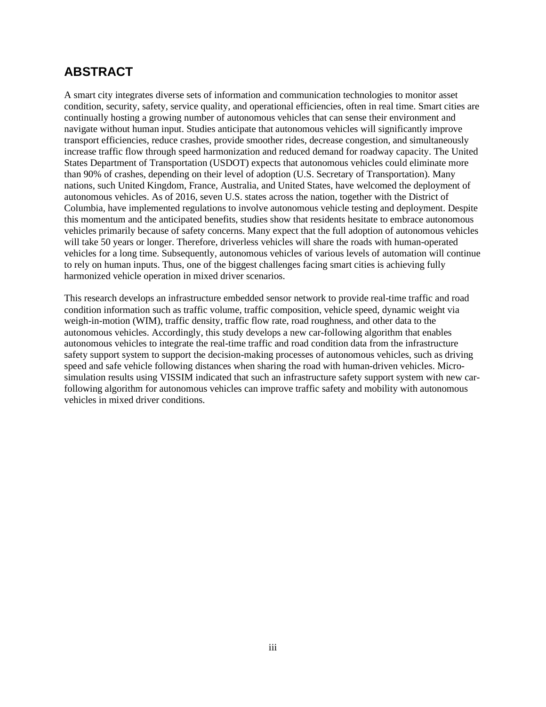# **ABSTRACT**

A smart city integrates diverse sets of [information](https://en.wikipedia.org/wiki/Information_and_communication_technology) and communication technologies to monitor asset condition, security, safety, service quality, and operational efficiencies, often in real time. Smart cities are continually hosting a growing number of autonomous vehicles that can sense their environment and navigate without [human input.](https://en.wikipedia.org/wiki/User_interface) Studies anticipate that autonomous vehicles will significantly improve transport efficiencies, reduce [crashes, p](https://en.wikipedia.org/wiki/Traffic_collisions)rovide smoother rides, decrease congestion, and simultaneously increase traffic flow through speed harmonization and reduced demand for roadway capacity. The United States Department of Transportation (USDOT) expects that autonomous vehicles could eliminate more than 90% of crashes, depending on their level of adoption (U.S. Secretary of Transportation). Many nations, such United Kingdom, France, Australia, and United States, have welcomed the deployment of autonomous vehicles. As of 2016, seven U.S. states across the nation, together with the [District of](https://en.wikipedia.org/wiki/District_of_Columbia)  [Columbia,](https://en.wikipedia.org/wiki/District_of_Columbia) have implemented regulations to involve autonomous vehicle testing and deployment. Despite this momentum and the anticipated benefits, studies show that residents hesitate to embrace autonomous vehicles primarily because of safety concerns. Many expect that the full adoption of autonomous vehicles will take 50 years or longer. Therefore, driverless vehicles will share the roads with human-operated vehicles for a long time. Subsequently, autonomous vehicles of various levels of automation will continue to rely on human inputs. Thus, one of the biggest challenges facing smart cities is achieving fully harmonized vehicle operation in mixed driver scenarios.

This research develops an infrastructure embedded sensor network to provide real-time traffic and road condition information such as traffic volume, traffic composition, vehicle speed, dynamic weight via weigh-in-motion (WIM), traffic density, traffic flow rate, road roughness, and other data to the autonomous vehicles. Accordingly, this study develops a new car-following algorithm that enables autonomous vehicles to integrate the real-time traffic and road condition data from the infrastructure safety support system to support the decision-making processes of autonomous vehicles, such as driving speed and safe vehicle following distances when sharing the road with human-driven vehicles. Microsimulation results using VISSIM indicated that such an infrastructure safety support system with new carfollowing algorithm for autonomous vehicles can improve traffic safety and mobility with autonomous vehicles in mixed driver conditions.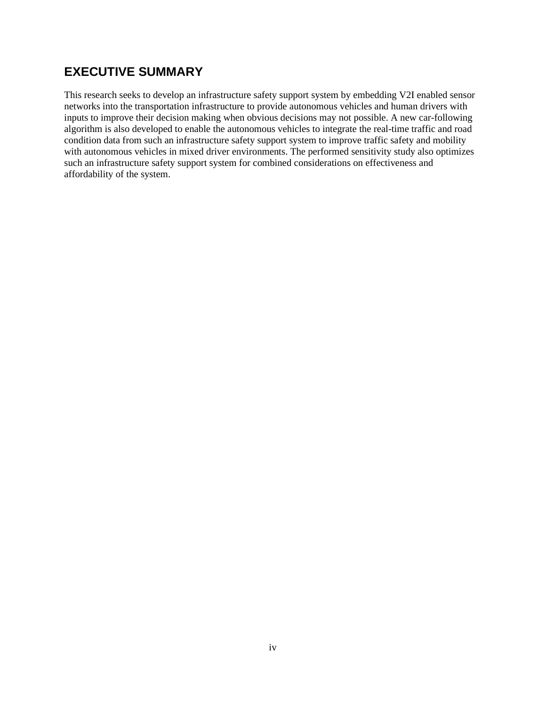# **EXECUTIVE SUMMARY**

This research seeks to develop an infrastructure safety support system by embedding V2I enabled sensor networks into the transportation infrastructure to provide autonomous vehicles and human drivers with inputs to improve their decision making when obvious decisions may not possible. A new car-following algorithm is also developed to enable the autonomous vehicles to integrate the real-time traffic and road condition data from such an infrastructure safety support system to improve traffic safety and mobility with autonomous vehicles in mixed driver environments. The performed sensitivity study also optimizes such an infrastructure safety support system for combined considerations on effectiveness and affordability of the system.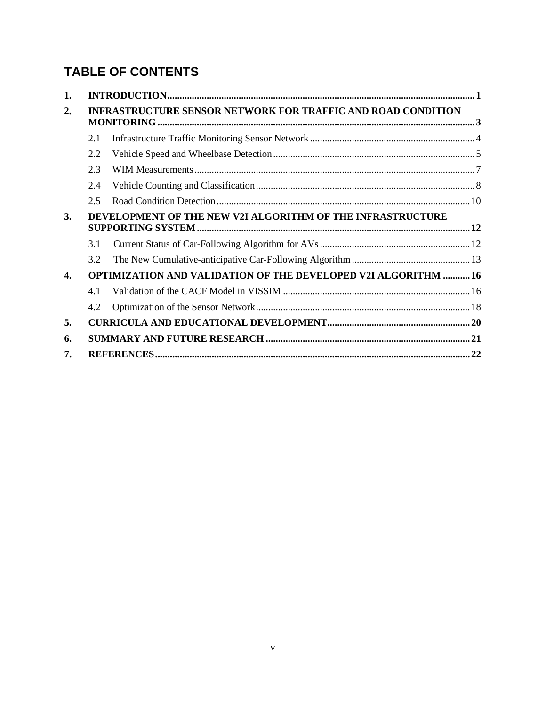# **TABLE OF CONTENTS**

| 1.        |     |                                                                       |  |
|-----------|-----|-----------------------------------------------------------------------|--|
| 2.        |     | <b>INFRASTRUCTURE SENSOR NETWORK FOR TRAFFIC AND ROAD CONDITION</b>   |  |
|           |     |                                                                       |  |
|           | 2.1 |                                                                       |  |
|           | 2.2 |                                                                       |  |
|           | 2.3 |                                                                       |  |
|           | 2.4 |                                                                       |  |
|           | 2.5 |                                                                       |  |
| <b>3.</b> |     | DEVELOPMENT OF THE NEW V2I ALGORITHM OF THE INFRASTRUCTURE            |  |
|           |     |                                                                       |  |
|           | 3.1 |                                                                       |  |
|           | 3.2 |                                                                       |  |
| 4.        |     | <b>OPTIMIZATION AND VALIDATION OF THE DEVELOPED V2I ALGORITHM  16</b> |  |
|           | 4.1 |                                                                       |  |
|           | 4.2 |                                                                       |  |
| 5.        |     |                                                                       |  |
| 6.        |     |                                                                       |  |
| 7.        |     |                                                                       |  |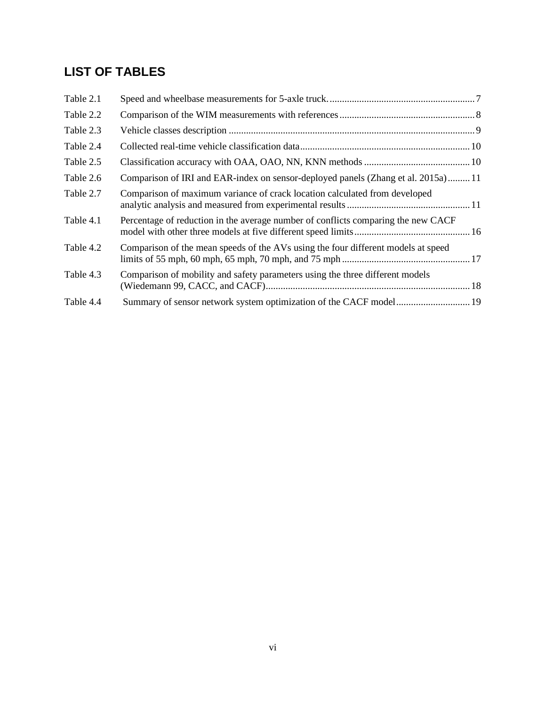# **LIST OF TABLES**

| Table 2.1 |                                                                                   |
|-----------|-----------------------------------------------------------------------------------|
| Table 2.2 |                                                                                   |
| Table 2.3 |                                                                                   |
| Table 2.4 |                                                                                   |
| Table 2.5 |                                                                                   |
| Table 2.6 | Comparison of IRI and EAR-index on sensor-deployed panels (Zhang et al. 2015a) 11 |
| Table 2.7 | Comparison of maximum variance of crack location calculated from developed        |
| Table 4.1 | Percentage of reduction in the average number of conflicts comparing the new CACF |
| Table 4.2 | Comparison of the mean speeds of the AVs using the four different models at speed |
| Table 4.3 | Comparison of mobility and safety parameters using the three different models     |
| Table 4.4 |                                                                                   |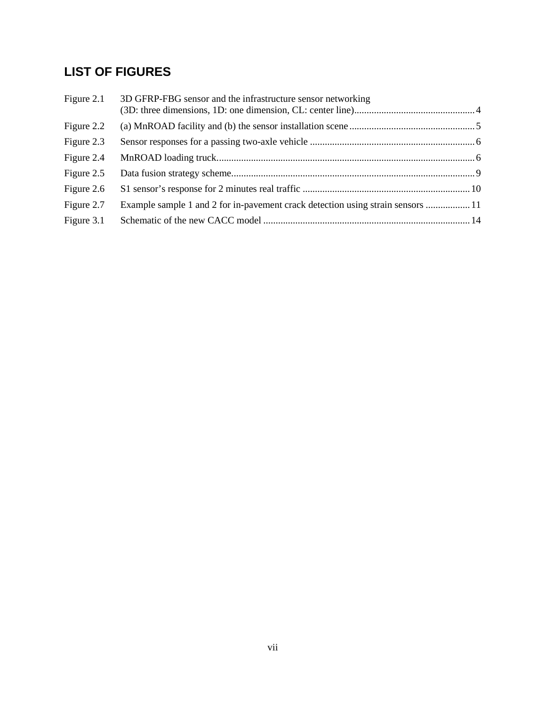# **LIST OF FIGURES**

| Figure 2.1 | 3D GFRP-FBG sensor and the infrastructure sensor networking                     |  |
|------------|---------------------------------------------------------------------------------|--|
| Figure 2.2 |                                                                                 |  |
| Figure 2.3 |                                                                                 |  |
| Figure 2.4 |                                                                                 |  |
| Figure 2.5 |                                                                                 |  |
| Figure 2.6 |                                                                                 |  |
| Figure 2.7 | Example sample 1 and 2 for in-pavement crack detection using strain sensors  11 |  |
| Figure 3.1 |                                                                                 |  |
|            |                                                                                 |  |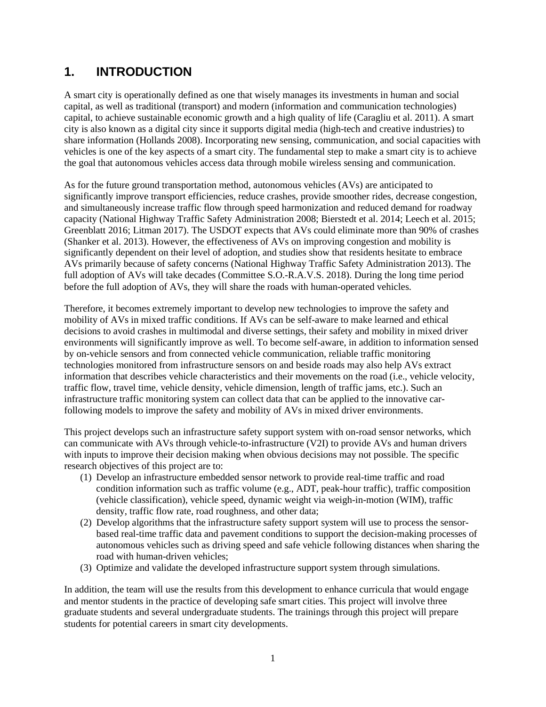# <span id="page-9-0"></span>**1. INTRODUCTION**

A smart city is operationally defined as one that wisely manages its investments in human and social capital, as well as traditional (transport) and modern (information and communication technologies) capital, to achieve sustainable economic growth and a high quality of life (Caragliu et al. 2011). A smart city is also known as a digital city since it supports digital media (high-tech and creative industries) to share information (Hollands 2008). Incorporating new sensing, communication, and social capacities with vehicles is one of the key aspects of a smart city. The fundamental step to make a smart city is to achieve the goal that autonomous vehicles access data through mobile wireless sensing and communication.

As for the future ground transportation method, autonomous vehicles (AVs) are anticipated to significantly improve transport efficiencies, reduce [crashes, p](https://en.wikipedia.org/wiki/Traffic_collisions)rovide smoother rides, decrease congestion, and simultaneously increase traffic flow through speed harmonization and reduced demand for roadway capacity (National Highway Traffic Safety Administration 2008; Bierstedt et al. 2014; Leech et al. 2015; Greenblatt 2016; Litman 2017). The USDOT expects that AVs could eliminate more than 90% of crashes (Shanker et al. 2013). However, the effectiveness of AVs on improving congestion and mobility is significantly dependent on their level of adoption, and studies show that residents hesitate to embrace AVs primarily because of safety concerns (National Highway Traffic Safety Administration 2013). The full adoption of AVs will take decades (Committee S.O.-R.A.V.S. 2018). During the long time period before the full adoption of AVs, they will share the roads with human-operated vehicles.

Therefore, it becomes extremely important to develop new technologies to improve the safety and mobility of AVs in mixed traffic conditions. If AVs can be self-aware to make learned and ethical decisions to avoid crashes in multimodal and diverse settings, their safety and mobility in mixed driver environments will significantly improve as well. To become self-aware, in addition to information sensed by on-vehicle sensors and from connected vehicle communication, reliable traffic monitoring technologies monitored from infrastructure sensors on and beside roads may also help AVs extract information that describes vehicle characteristics and their movements on the road (i.e., vehicle velocity, traffic flow, travel time, vehicle density, vehicle dimension, length of traffic jams, etc.). Such an infrastructure traffic monitoring system can collect data that can be applied to the innovative carfollowing models to improve the safety and mobility of AVs in mixed driver environments.

This project develops such an infrastructure safety support system with on-road sensor networks, which can communicate with AVs through vehicle-to-infrastructure (V2I) to provide AVs and human drivers with inputs to improve their decision making when obvious decisions may not possible. The specific research objectives of this project are to:

- (1) Develop an infrastructure embedded sensor network to provide real-time traffic and road condition information such as traffic volume (e.g., ADT, peak-hour traffic), traffic composition (vehicle classification), vehicle speed, dynamic weight via weigh-in-motion (WIM), traffic density, traffic flow rate, road roughness, and other data;
- (2) Develop algorithms that the infrastructure safety support system will use to process the sensorbased real-time traffic data and pavement conditions to support the decision-making processes of autonomous vehicles such as driving speed and safe vehicle following distances when sharing the road with human-driven vehicles;
- (3) Optimize and validate the developed infrastructure support system through simulations.

In addition, the team will use the results from this development to enhance curricula that would engage and mentor students in the practice of developing safe smart cities. This project will involve three graduate students and several undergraduate students. The trainings through this project will prepare students for potential careers in smart city developments.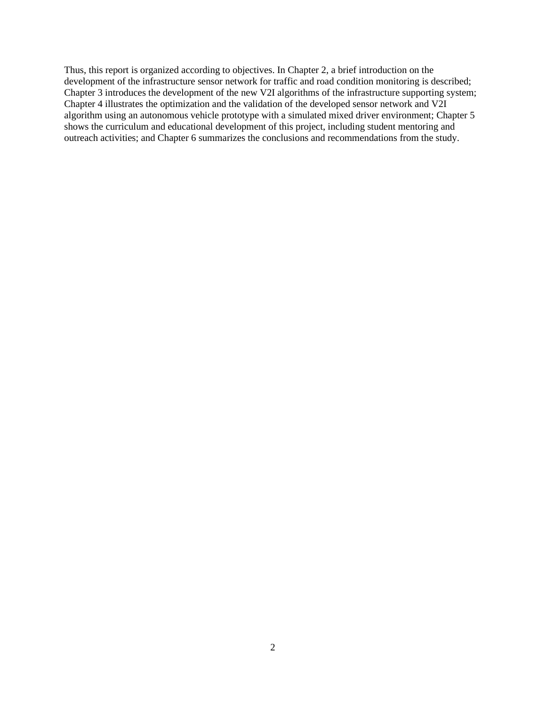Thus, this report is organized according to objectives. In Chapter 2, a brief introduction on the development of the infrastructure sensor network for traffic and road condition monitoring is described; Chapter 3 introduces the development of the new V2I algorithms of the infrastructure supporting system; Chapter 4 illustrates the optimization and the validation of the developed sensor network and V2I algorithm using an autonomous vehicle prototype with a simulated mixed driver environment; Chapter 5 shows the curriculum and educational development of this project, including student mentoring and outreach activities; and Chapter 6 summarizes the conclusions and recommendations from the study.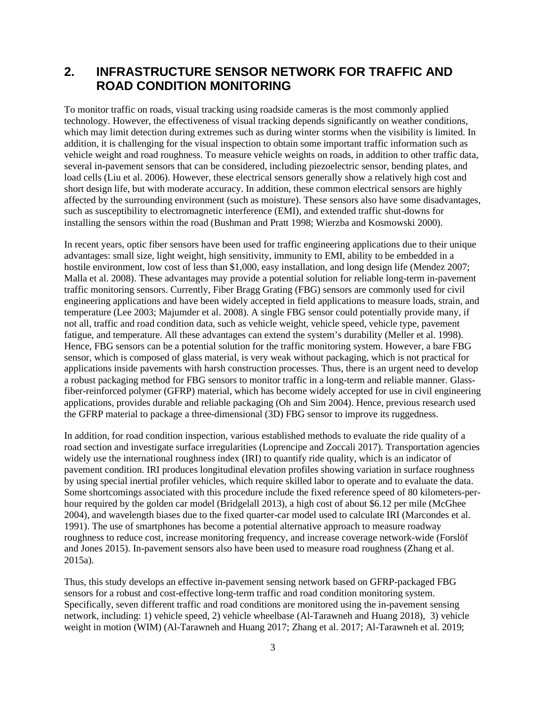## <span id="page-11-0"></span>**2. INFRASTRUCTURE SENSOR NETWORK FOR TRAFFIC AND ROAD CONDITION MONITORING**

To monitor traffic on roads, visual tracking using roadside cameras is the most commonly applied technology. However, the effectiveness of visual tracking depends significantly on weather conditions, which may limit detection during extremes such as during winter storms when the visibility is limited. In addition, it is challenging for the visual inspection to obtain some important traffic information such as vehicle weight and road roughness. To measure vehicle weights on roads, in addition to other traffic data, several in-pavement sensors that can be considered, including piezoelectric sensor, bending plates, and load cells (Liu et al. 2006). However, these electrical sensors generally show a relatively high cost and short design life, but with moderate accuracy. In addition, these common electrical sensors are highly affected by the surrounding environment (such as moisture). These sensors also have some disadvantages, such as susceptibility to electromagnetic interference (EMI), and extended traffic shut-downs for installing the sensors within the road (Bushman and Pratt 1998; Wierzba and Kosmowski 2000).

In recent years, optic fiber sensors have been used for traffic engineering applications due to their unique advantages: small size, light weight, high sensitivity, immunity to EMI, ability to be embedded in a hostile environment, low cost of less than \$1,000, easy installation, and long design life (Mendez 2007; Malla et al. 2008). These advantages may provide a potential solution for reliable long-term in-pavement traffic monitoring sensors. Currently, Fiber Bragg Grating (FBG) sensors are commonly used for civil engineering applications and have been widely accepted in field applications to measure loads, strain, and temperature (Lee 2003; Majumder et al. 2008). A single FBG sensor could potentially provide many, if not all, traffic and road condition data, such as vehicle weight, vehicle speed, vehicle type, pavement fatigue, and temperature. All these advantages can extend the system's durability (Meller et al. 1998). Hence, FBG sensors can be a potential solution for the traffic monitoring system. However, a bare FBG sensor, which is composed of glass material, is very weak without packaging, which is not practical for applications inside pavements with harsh construction processes. Thus, there is an urgent need to develop a robust packaging method for FBG sensors to monitor traffic in a long-term and reliable manner. Glassfiber-reinforced polymer (GFRP) material, which has become widely accepted for use in civil engineering applications, provides durable and reliable packaging (Oh and Sim 2004). Hence, previous research used the GFRP material to package a three-dimensional (3D) FBG sensor to improve its ruggedness.

In addition, for road condition inspection, various established methods to evaluate the ride quality of a road section and investigate surface irregularities (Loprencipe and Zoccali 2017). Transportation agencies widely use the international roughness index (IRI) to quantify ride quality, which is an indicator of pavement condition. IRI produces longitudinal elevation profiles showing variation in surface roughness by using special inertial profiler vehicles, which require skilled labor to operate and to evaluate the data. Some shortcomings associated with this procedure include the fixed reference speed of 80 kilometers-perhour required by the golden car model (Bridgelall 2013), a high cost of about \$6.12 per mile (McGhee 2004), and wavelength biases due to the fixed quarter-car model used to calculate IRI (Marcondes et al. 1991). The use of smartphones has become a potential alternative approach to measure roadway roughness to reduce cost, increase monitoring frequency, and increase coverage network-wide (Forslöf and Jones 2015). In-pavement sensors also have been used to measure road roughness (Zhang et al. 2015a).

Thus, this study develops an effective in-pavement sensing network based on GFRP-packaged FBG sensors for a robust and cost-effective long-term traffic and road condition monitoring system. Specifically, seven different traffic and road conditions are monitored using the in-pavement sensing network, including: 1) vehicle speed, 2) vehicle wheelbase (Al-Tarawneh and Huang 2018), 3) vehicle weight in motion (WIM) (Al-Tarawneh and Huang 2017; Zhang et al. 2017; Al-Tarawneh et al. 2019;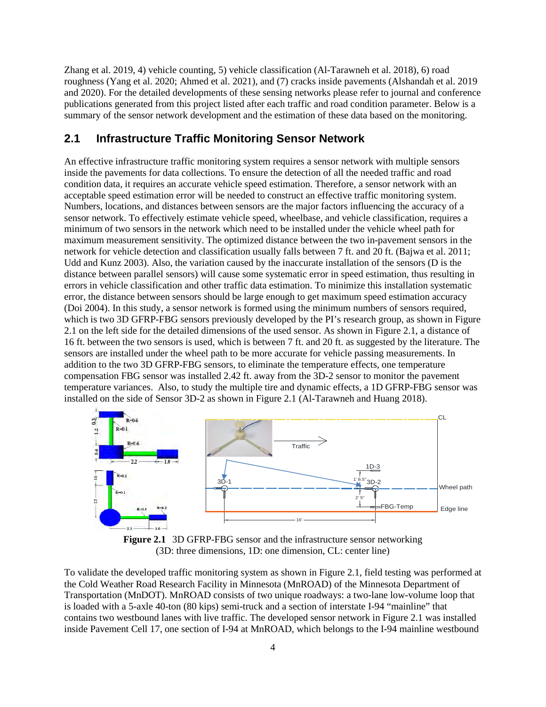Zhang et al. 2019, 4) vehicle counting, 5) vehicle classification (Al-Tarawneh et al. 2018), 6) road roughness (Yang et al. 2020; Ahmed et al. 2021), and (7) cracks inside pavements (Alshandah et al. 2019 and 2020). For the detailed developments of these sensing networks please refer to journal and conference publications generated from this project listed after each traffic and road condition parameter. Below is a summary of the sensor network development and the estimation of these data based on the monitoring.

## <span id="page-12-0"></span>**2.1 Infrastructure Traffic Monitoring Sensor Network**

An effective infrastructure traffic monitoring system requires a sensor network with multiple sensors inside the pavements for data collections. To ensure the detection of all the needed traffic and road condition data, it requires an accurate vehicle speed estimation. Therefore, a sensor network with an acceptable speed estimation error will be needed to construct an effective traffic monitoring system. Numbers, locations, and distances between sensors are the major factors influencing the accuracy of a sensor network. To effectively estimate vehicle speed, wheelbase, and vehicle classification, requires a minimum of two sensors in the network which need to be installed under the vehicle wheel path for maximum measurement sensitivity. The optimized distance between the two in-pavement sensors in the network for vehicle detection and classification usually falls between 7 ft. and 20 ft. (Bajwa et al. 2011; Udd and Kunz 2003). Also, the variation caused by the inaccurate installation of the sensors (D is the distance between parallel sensors) will cause some systematic error in speed estimation, thus resulting in errors in vehicle classification and other traffic data estimation. To minimize this installation systematic error, the distance between sensors should be large enough to get maximum speed estimation accuracy (Doi 2004). In this study, a sensor network is formed using the minimum numbers of sensors required, which is two 3D GFRP-FBG sensors previously developed by the PI's research group, as shown in Figure 2.1 on the left side for the detailed dimensions of the used sensor. As shown in Figure 2.1, a distance of 16 ft. between the two sensors is used, which is between 7 ft. and 20 ft. as suggested by the literature. The sensors are installed under the wheel path to be more accurate for vehicle passing measurements. In addition to the two 3D GFRP-FBG sensors, to eliminate the temperature effects, one temperature compensation FBG sensor was installed 2.42 ft. away from the 3D-2 sensor to monitor the pavement temperature variances. Also, to study the multiple tire and dynamic effects, a 1D GFRP-FBG sensor was installed on the side of Sensor 3D-2 as shown in Figure 2.1 (Al-Tarawneh and Huang 2018).





<span id="page-12-1"></span>To validate the developed traffic monitoring system as shown in Figure 2.1, field testing was performed at the Cold Weather Road Research Facility in Minnesota (MnROAD) of the Minnesota Department of Transportation (MnDOT). MnROAD consists of two unique roadways: a two-lane low-volume loop that is loaded with a 5-axle 40-ton (80 kips) semi-truck and a section of interstate I-94 "mainline" that contains two westbound lanes with live traffic. The developed sensor network in Figure 2.1 was installed inside Pavement Cell 17, one section of I-94 at MnROAD, which belongs to the I-94 mainline westbound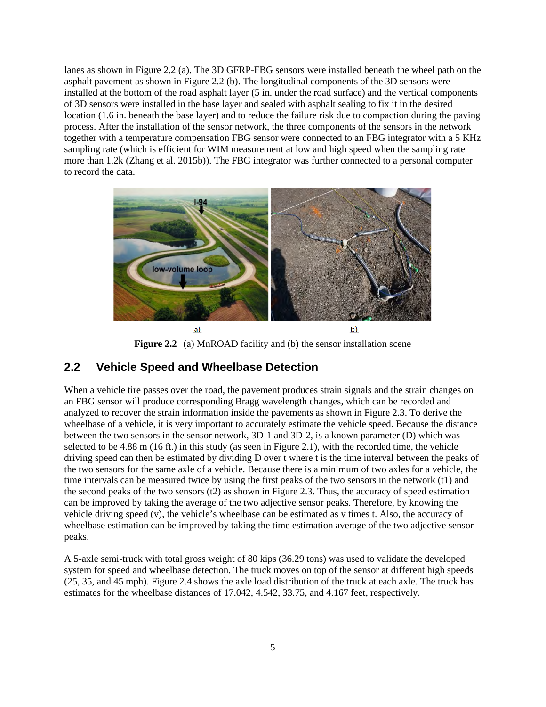lanes as shown in Figure 2.2 (a). The 3D GFRP-FBG sensors were installed beneath the wheel path on the asphalt pavement as shown in Figure 2.2 (b). The longitudinal components of the 3D sensors were installed at the bottom of the road asphalt layer (5 in. under the road surface) and the vertical components of 3D sensors were installed in the base layer and sealed with asphalt sealing to fix it in the desired location (1.6 in. beneath the base layer) and to reduce the failure risk due to compaction during the paving process. After the installation of the sensor network, the three components of the sensors in the network together with a temperature compensation FBG sensor were connected to an FBG integrator with a 5 KHz sampling rate (which is efficient for WIM measurement at low and high speed when the sampling rate more than 1.2k (Zhang et al. 2015b)). The FBG integrator was further connected to a personal computer to record the data.



**Figure 2.2** (a) MnROAD facility and (b) the sensor installation scene

## <span id="page-13-1"></span><span id="page-13-0"></span>**2.2 Vehicle Speed and Wheelbase Detection**

When a vehicle tire passes over the road, the pavement produces strain signals and the strain changes on an FBG sensor will produce corresponding Bragg wavelength changes, which can be recorded and analyzed to recover the strain information inside the pavements as shown in Figure 2.3. To derive the wheelbase of a vehicle, it is very important to accurately estimate the vehicle speed. Because the distance between the two sensors in the sensor network, 3D-1 and 3D-2, is a known parameter (D) which was selected to be 4.88 m (16 ft.) in this study (as seen in Figure 2.1), with the recorded time, the vehicle driving speed can then be estimated by dividing D over t where t is the time interval between the peaks of the two sensors for the same axle of a vehicle. Because there is a minimum of two axles for a vehicle, the time intervals can be measured twice by using the first peaks of the two sensors in the network (t1) and the second peaks of the two sensors (t2) as shown in Figure 2.3. Thus, the accuracy of speed estimation can be improved by taking the average of the two adjective sensor peaks. Therefore, by knowing the vehicle driving speed (v), the vehicle's wheelbase can be estimated as v times t. Also, the accuracy of wheelbase estimation can be improved by taking the time estimation average of the two adjective sensor peaks.

A 5-axle semi-truck with total gross weight of 80 kips (36.29 tons) was used to validate the developed system for speed and wheelbase detection. The truck moves on top of the sensor at different high speeds (25, 35, and 45 mph). Figure 2.4 shows the axle load distribution of the truck at each axle. The truck has estimates for the wheelbase distances of 17.042, 4.542, 33.75, and 4.167 feet, respectively.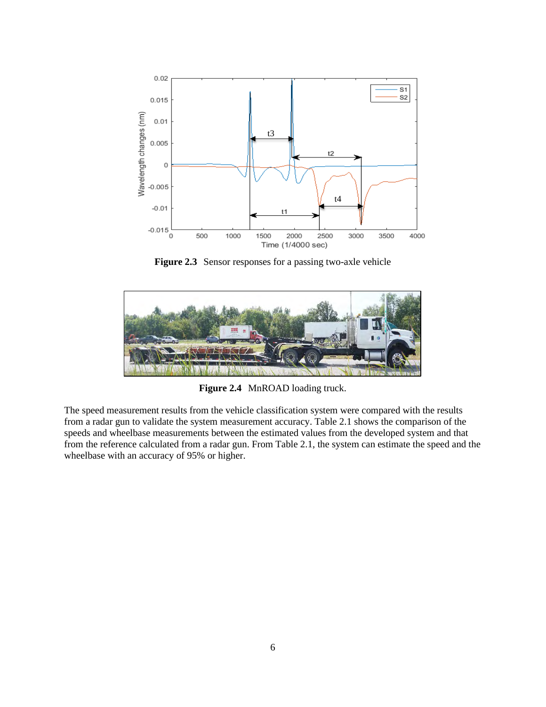

**Figure 2.3** Sensor responses for a passing two-axle vehicle

<span id="page-14-1"></span>

**Figure 2.4** MnROAD loading truck.

<span id="page-14-2"></span><span id="page-14-0"></span>The speed measurement results from the vehicle classification system were compared with the results from a radar gun to validate the system measurement accuracy. Table 2.1 shows the comparison of the speeds and wheelbase measurements between the estimated values from the developed system and that from the reference calculated from a radar gun. From Table 2.1, the system can estimate the speed and the wheelbase with an accuracy of 95% or higher.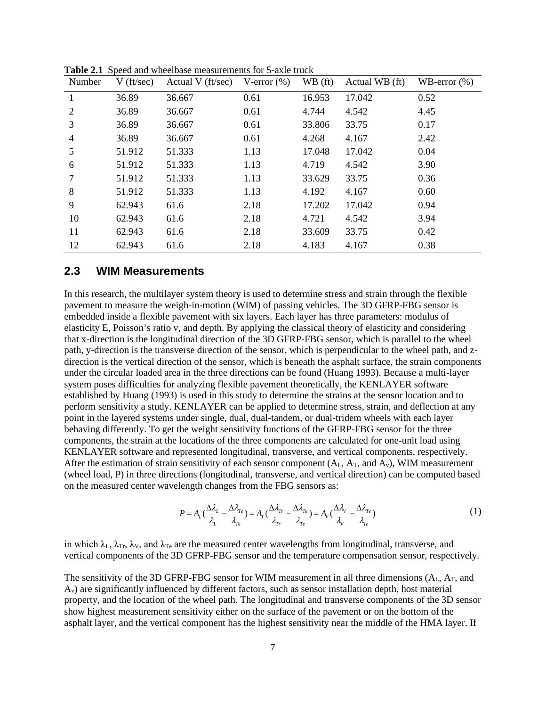| Number         | $V$ (ft/sec) | Actual V (ft/sec) | V-error $(\%)$ | WB (ft) | Actual WB (ft) | WB-error $(\% )$ |
|----------------|--------------|-------------------|----------------|---------|----------------|------------------|
|                | 36.89        | 36.667            | 0.61           | 16.953  | 17.042         | 0.52             |
| $\overline{2}$ | 36.89        | 36.667            | 0.61           | 4.744   | 4.542          | 4.45             |
| 3              | 36.89        | 36.667            | 0.61           | 33.806  | 33.75          | 0.17             |
| 4              | 36.89        | 36.667            | 0.61           | 4.268   | 4.167          | 2.42             |
| 5              | 51.912       | 51.333            | 1.13           | 17.048  | 17.042         | 0.04             |
| 6              | 51.912       | 51.333            | 1.13           | 4.719   | 4.542          | 3.90             |
| 7              | 51.912       | 51.333            | 1.13           | 33.629  | 33.75          | 0.36             |
| 8              | 51.912       | 51.333            | 1.13           | 4.192   | 4.167          | 0.60             |
| 9              | 62.943       | 61.6              | 2.18           | 17.202  | 17.042         | 0.94             |
| 10             | 62.943       | 61.6              | 2.18           | 4.721   | 4.542          | 3.94             |
| 11             | 62.943       | 61.6              | 2.18           | 33.609  | 33.75          | 0.42             |
| 12             | 62.943       | 61.6              | 2.18           | 4.183   | 4.167          | 0.38             |

**Table 2.1** Speed and wheelbase measurements for 5-axle truck

#### <span id="page-15-0"></span>**2.3 WIM Measurements**

In this research, the multilayer system theory is used to determine stress and strain through the flexible pavement to measure the weigh-in-motion (WIM) of passing vehicles. The 3D GFRP-FBG sensor is embedded inside a flexible pavement with six layers. Each layer has three parameters: modulus of elasticity E, Poisson's ratio v, and depth. By applying the classical theory of elasticity and considering that x-direction is the longitudinal direction of the 3D GFRP-FBG sensor, which is parallel to the wheel path, y-direction is the transverse direction of the sensor, which is perpendicular to the wheel path, and zdirection is the vertical direction of the sensor, which is beneath the asphalt surface, the strain components under the circular loaded area in the three directions can be found (Huang 1993). Because a multi-layer system poses difficulties for analyzing flexible pavement theoretically, the KENLAYER software established by Huang (1993) is used in this study to determine the strains at the sensor location and to perform sensitivity a study. KENLAYER can be applied to determine stress, strain, and deflection at any point in the layered systems under single, dual, dual-tandem, or dual-tridem wheels with each layer behaving differently. To get the weight sensitivity functions of the GFRP-FBG sensor for the three components, the strain at the locations of the three components are calculated for one-unit load using KENLAYER software and represented longitudinal, transverse, and vertical components, respectively. After the estimation of strain sensitivity of each sensor component  $(A_L, A_T, and A_v)$ , WIM measurement (wheel load, P) in three directions (longitudinal, transverse, and vertical direction) can be computed based on the measured center wavelength changes from the FBG sensors as:

$$
P = A_L \left(\frac{\Delta \lambda_L}{\lambda_L} - \frac{\Delta \lambda_{Te}}{\lambda_{Te}}\right) = A_T \left(\frac{\Delta \lambda_{Tr}}{\lambda_{Tr}} - \frac{\Delta \lambda_{Te}}{\lambda_{Te}}\right) = A_V \left(\frac{\Delta \lambda_V}{\lambda_V} - \frac{\Delta \lambda_{Te}}{\lambda_{Te}}\right)
$$
(1)

in which  $\lambda_L$ ,  $\lambda_{Tr}$ ,  $\lambda_V$ , and  $\lambda_{Te}$  are the measured center wavelengths from longitudinal, transverse, and vertical components of the 3D GFRP-FBG sensor and the temperature compensation sensor, respectively.

The sensitivity of the 3D GFRP-FBG sensor for WIM measurement in all three dimensions  $(A_L, A_T,$  and Av) are significantly influenced by different factors, such as sensor installation depth, host material property, and the location of the wheel path. The longitudinal and transverse components of the 3D sensor show highest measurement sensitivity either on the surface of the pavement or on the bottom of the asphalt layer, and the vertical component has the highest sensitivity near the middle of the HMA layer. If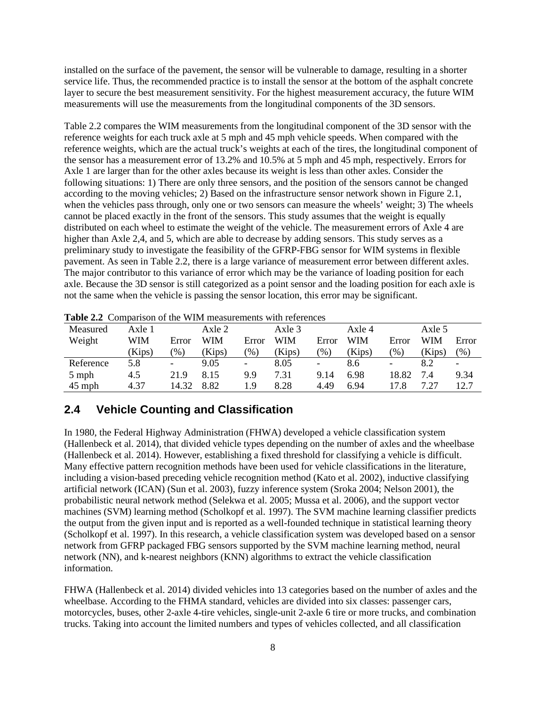installed on the surface of the pavement, the sensor will be vulnerable to damage, resulting in a shorter service life. Thus, the recommended practice is to install the sensor at the bottom of the asphalt concrete layer to secure the best measurement sensitivity. For the highest measurement accuracy, the future WIM measurements will use the measurements from the longitudinal components of the 3D sensors.

Table 2.2 compares the WIM measurements from the longitudinal component of the 3D sensor with the reference weights for each truck axle at 5 mph and 45 mph vehicle speeds. When compared with the reference weights, which are the actual truck's weights at each of the tires, the longitudinal component of the sensor has a measurement error of 13.2% and 10.5% at 5 mph and 45 mph, respectively. Errors for Axle 1 are larger than for the other axles because its weight is less than other axles. Consider the following situations: 1) There are only three sensors, and the position of the sensors cannot be changed according to the moving vehicles; 2) Based on the infrastructure sensor network shown in Figure 2.1, when the vehicles pass through, only one or two sensors can measure the wheels' weight; 3) The wheels cannot be placed exactly in the front of the sensors. This study assumes that the weight is equally distributed on each wheel to estimate the weight of the vehicle. The measurement errors of Axle 4 are higher than Axle 2,4, and 5, which are able to decrease by adding sensors. This study serves as a preliminary study to investigate the feasibility of the GFRP-FBG sensor for WIM systems in flexible pavement. As seen in Table 2.2, there is a large variance of measurement error between different axles. The major contributor to this variance of error which may be the variance of loading position for each axle. Because the 3D sensor is still categorized as a point sensor and the loading position for each axle is not the same when the vehicle is passing the sensor location, this error may be significant.

|           | <b>Table 2.2</b> Combanson of the Willy measurements whill references |                          |        |                          |          |                          |        |                          |            |            |
|-----------|-----------------------------------------------------------------------|--------------------------|--------|--------------------------|----------|--------------------------|--------|--------------------------|------------|------------|
| Measured  | Axle 1                                                                |                          | Axle 2 |                          | Axle $3$ |                          | Axle 4 |                          | Axle 5     |            |
| Weight    | WIM                                                                   | Error                    | WIM    | Error                    | WIM      | Error                    | WIM    | Error                    | <b>WIM</b> | Error      |
|           | (Kips)                                                                | $\%$                     | (Kips) | $\frac{9}{0}$            | (Kips)   | $\frac{9}{6}$            | (Kips) | $\mathcal{O}_0$          | Kips)      | $\gamma_0$ |
| Reference | 5.8                                                                   | $\overline{\phantom{0}}$ | 9.05   | $\overline{\phantom{a}}$ | 8.05     | $\overline{\phantom{a}}$ | 8.6    | $\overline{\phantom{a}}$ | 8.2        | -          |
| 5 mph     | 4.5                                                                   | 21.9                     | 8.15   | 9.9                      | 7.31     | 9.14                     | 6.98   | 18.82                    | 7.4        | 9.34       |
| $45$ mph  | 4.37                                                                  | 14.32                    | 8.82   | l.9                      | 8.28     | 4.49                     | 6.94   | 17.8                     | 7.27       | 12.7       |

<span id="page-16-1"></span>**Table 2.2** Comparison of the WIM measurements with references

#### <span id="page-16-0"></span>**2.4 Vehicle Counting and Classification**

In 1980, the Federal Highway Administration (FHWA) developed a vehicle classification system (Hallenbeck et al. 2014), that divided vehicle types depending on the number of axles and the wheelbase (Hallenbeck et al. 2014). However, establishing a fixed threshold for classifying a vehicle is difficult. Many effective pattern recognition methods have been used for vehicle classifications in the literature, including a vision-based preceding vehicle recognition method (Kato et al. 2002), inductive classifying artificial network (ICAN) (Sun et al. 2003), fuzzy inference system (Sroka 2004; Nelson 2001), the probabilistic neural network method (Selekwa et al. 2005; Mussa et al. 2006), and the support vector machines (SVM) learning method (Scholkopf et al. 1997). The SVM machine learning classifier predicts the output from the given input and is reported as a well-founded technique in statistical learning theory (Scholkopf et al. 1997). In this research, a vehicle classification system was developed based on a sensor network from GFRP packaged FBG sensors supported by the SVM machine learning method, neural network (NN), and k-nearest neighbors (KNN) algorithms to extract the vehicle classification information.

FHWA (Hallenbeck et al. 2014) divided vehicles into 13 categories based on the number of axles and the wheelbase. According to the FHMA standard, vehicles are divided into six classes: passenger cars, motorcycles, buses, other 2-axle 4-tire vehicles, single-unit 2-axle 6 tire or more trucks, and combination trucks. Taking into account the limited numbers and types of vehicles collected, and all classification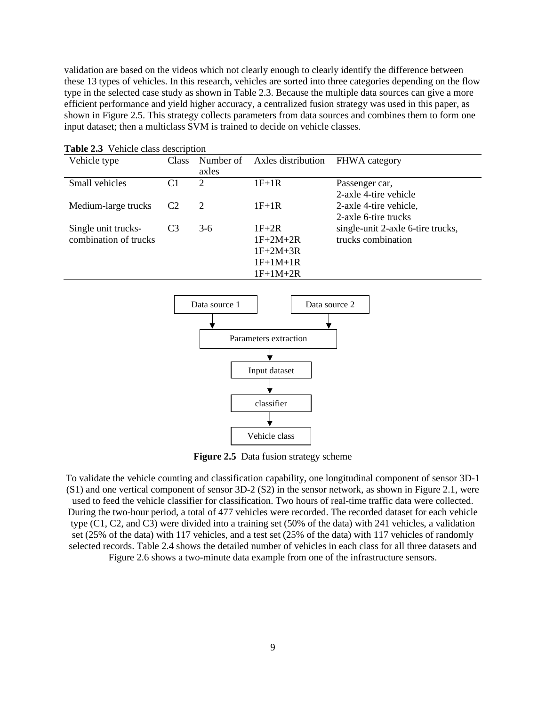validation are based on the videos which not clearly enough to clearly identify the difference between these 13 types of vehicles. In this research, vehicles are sorted into three categories depending on the flow type in the selected case study as shown in Table 2.3. Because the multiple data sources can give a more efficient performance and yield higher accuracy, a centralized fusion strategy was used in this paper, as shown in Figure 2.5. This strategy collects parameters from data sources and combines them to form one input dataset; then a multiclass SVM is trained to decide on vehicle classes.

| Vehicle type          | <b>Class</b>   | Number of<br>axles | Axles distribution | <b>FHWA</b> category              |
|-----------------------|----------------|--------------------|--------------------|-----------------------------------|
| Small vehicles        | C1             | 2                  | $1F+1R$            | Passenger car,                    |
|                       |                |                    |                    | 2-axle 4-tire vehicle             |
| Medium-large trucks   | C <sub>2</sub> | 2                  | $1F+1R$            | 2-axle 4-tire vehicle,            |
|                       |                |                    |                    | 2-axle 6-tire trucks              |
| Single unit trucks-   | C <sub>3</sub> | $3-6$              | $1F+2R$            | single-unit 2-axle 6-tire trucks, |
| combination of trucks |                |                    | $1F+2M+2R$         | trucks combination                |
|                       |                |                    | $1F+2M+3R$         |                                   |
|                       |                |                    | $1F+1M+1R$         |                                   |
|                       |                |                    | $1F+1M+2R$         |                                   |

<span id="page-17-0"></span>**Table 2.3** Vehicle class description



**Figure 2.5** Data fusion strategy scheme

<span id="page-17-2"></span>To validate the vehicle counting and classification capability, one longitudinal component of sensor 3D-1 (S1) and one vertical component of sensor 3D-2 (S2) in the sensor network, as shown in Figure 2.1, were used to feed the vehicle classifier for classification. Two hours of real-time traffic data were collected. During the two-hour period, a total of 477 vehicles were recorded. The recorded dataset for each vehicle type (C1, C2, and C3) were divided into a training set (50% of the data) with 241 vehicles, a validation set (25% of the data) with 117 vehicles, and a test set (25% of the data) with 117 vehicles of randomly selected records. Table 2.4 shows the detailed number of vehicles in each class for all three datasets and

<span id="page-17-1"></span>Figure 2.6 shows a two-minute data example from one of the infrastructure sensors.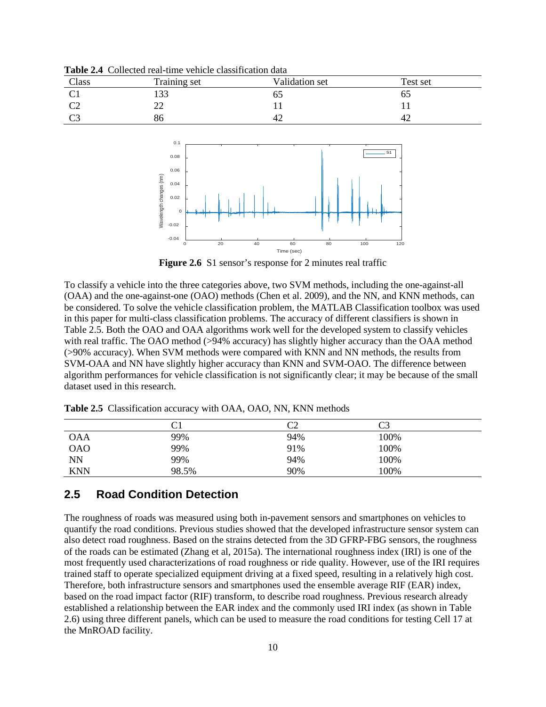| Class | Training set | Validation set | Test set |
|-------|--------------|----------------|----------|
| ◡ェ    | $\Omega$     | UJ             | U.       |
| ◡▵    | ∠∠           |                |          |
| ັ     | 86           | $+2$           | 42       |

**Table 2.4** Collected real-time vehicle classification data



**Figure 2.6** S1 sensor's response for 2 minutes real traffic

<span id="page-18-2"></span>To classify a vehicle into the three categories above, two SVM methods, including the one-against-all (OAA) and the one-against-one (OAO) methods (Chen et al. 2009), and the NN, and KNN methods, can be considered. To solve the vehicle classification problem, the MATLAB Classification toolbox was used in this paper for multi-class classification problems. The accuracy of different classifiers is shown in Table 2.5. Both the OAO and OAA algorithms work well for the developed system to classify vehicles with real traffic. The OAO method (>94% accuracy) has slightly higher accuracy than the OAA method (>90% accuracy). When SVM methods were compared with KNN and NN methods, the results from SVM-OAA and NN have slightly higher accuracy than KNN and SVM-OAO. The difference between algorithm performances for vehicle classification is not significantly clear; it may be because of the small dataset used in this research.

|            | $\rm C1$ | ∩∩<br>◡▵ | oח<br>ت |  |
|------------|----------|----------|---------|--|
| <b>OAA</b> | 99%      | 94%      | 100%    |  |
| <b>OAO</b> | 99%      | 91%      | 100%    |  |
| <b>NN</b>  | 99%      | 94%      | 100%    |  |
| <b>KNN</b> | 98.5%    | 90%      | 100%    |  |

<span id="page-18-1"></span>**Table 2.5** Classification accuracy with OAA, OAO, NN, KNN methods

## <span id="page-18-0"></span>**2.5 Road Condition Detection**

The roughness of roads was measured using both in-pavement sensors and smartphones on vehicles to quantify the road conditions. Previous studies showed that the developed infrastructure sensor system can also detect road roughness. Based on the strains detected from the 3D GFRP-FBG sensors, the roughness of the roads can be estimated (Zhang et al, 2015a). The international roughness index (IRI) is one of the most frequently used characterizations of road roughness or ride quality. However, use of the IRI requires trained staff to operate specialized equipment driving at a fixed speed, resulting in a relatively high cost. Therefore, both infrastructure sensors and smartphones used the ensemble average RIF (EAR) index, based on the road impact factor (RIF) transform, to describe road roughness. Previous research already established a relationship between the EAR index and the commonly used IRI index (as shown in Table 2.6) using three different panels, which can be used to measure the road conditions for testing Cell 17 at the MnROAD facility.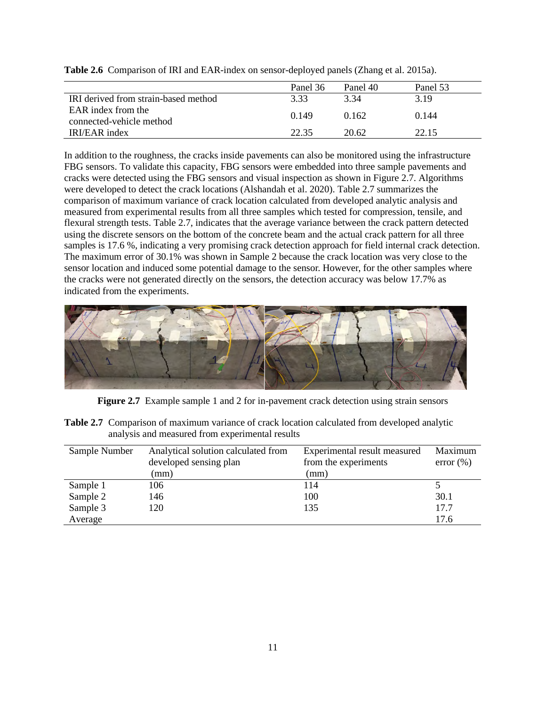|                                      | Panel 36 | Panel 40 | Panel 53 |
|--------------------------------------|----------|----------|----------|
| IRI derived from strain-based method | 3.33     | 3.34     | 3.19     |
| EAR index from the                   | 0.149    | 0.162    | 0.144    |
| connected-vehicle method             |          |          |          |
| IRI/EAR index                        | 22.35    | 20.62    | 22.15    |

<span id="page-19-0"></span>**Table 2.6** Comparison of IRI and EAR-index on sensor-deployed panels (Zhang et al. 2015a).

In addition to the roughness, the cracks inside pavements can also be monitored using the infrastructure FBG sensors. To validate this capacity, FBG sensors were embedded into three sample pavements and cracks were detected using the FBG sensors and visual inspection as shown in Figure 2.7. Algorithms were developed to detect the crack locations (Alshandah et al. 2020). Table 2.7 summarizes the comparison of maximum variance of crack location calculated from developed analytic analysis and measured from experimental results from all three samples which tested for compression, tensile, and flexural strength tests. Table 2.7, indicates that the average variance between the crack pattern detected using the discrete sensors on the bottom of the concrete beam and the actual crack pattern for all three samples is 17.6 %, indicating a very promising crack detection approach for field internal crack detection. The maximum error of 30.1% was shown in Sample 2 because the crack location was very close to the sensor location and induced some potential damage to the sensor. However, for the other samples where the cracks were not generated directly on the sensors, the detection accuracy was below 17.7% as indicated from the experiments.



**Figure 2.7** Example sample 1 and 2 for in-pavement crack detection using strain sensors

<span id="page-19-2"></span><span id="page-19-1"></span>

| <b>Table 2.7</b> Comparison of maximum variance of crack location calculated from developed analytic |
|------------------------------------------------------------------------------------------------------|
| analysis and measured from experimental results                                                      |

| Sample Number | Analytical solution calculated from | Experimental result measured | Maximum       |
|---------------|-------------------------------------|------------------------------|---------------|
|               | developed sensing plan              | from the experiments         | $error (\% )$ |
|               | (mm)                                | (mm)                         |               |
| Sample 1      | 106                                 | 114                          |               |
| Sample 2      | 146                                 | 100                          | 30.1          |
| Sample 3      | 120                                 | 135                          | 17.7          |
| Average       |                                     |                              | 17.6          |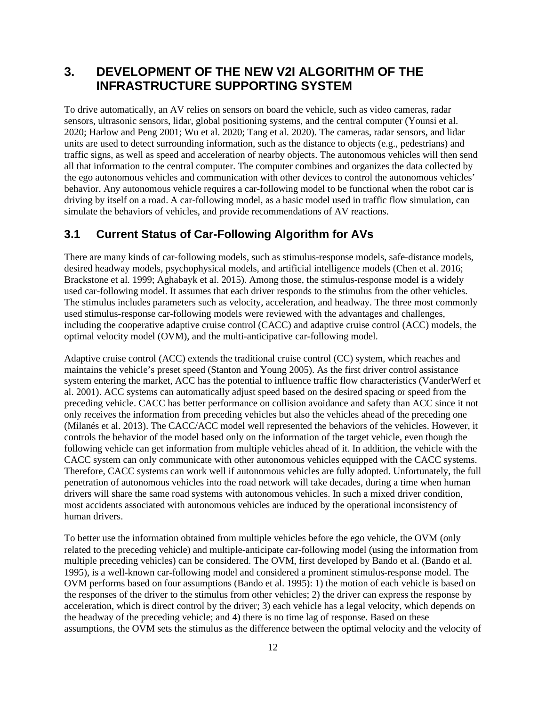# <span id="page-20-0"></span>**3. DEVELOPMENT OF THE NEW V2I ALGORITHM OF THE INFRASTRUCTURE SUPPORTING SYSTEM**

To drive automatically, an AV relies on sensors on board the vehicle, such as video cameras, radar sensors, ultrasonic sensors, lidar, global positioning systems, and the central computer (Younsi et al. 2020; Harlow and Peng 2001; Wu et al. 2020; Tang et al. 2020). The cameras, radar sensors, and lidar units are used to detect surrounding information, such as the distance to objects (e.g., pedestrians) and traffic signs, as well as speed and acceleration of nearby objects. The autonomous vehicles will then send all that information to the central computer. The computer combines and organizes the data collected by the ego autonomous vehicles and communication with other devices to control the autonomous vehicles' behavior. Any autonomous vehicle requires a car-following model to be functional when the robot car is driving by itself on a road. A car-following model, as a basic model used in traffic flow simulation, can simulate the behaviors of vehicles, and provide recommendations of AV reactions.

#### <span id="page-20-1"></span>**3.1 Current Status of Car-Following Algorithm for AVs**

There are many kinds of car-following models, such as stimulus-response models, safe-distance models, desired headway models, psychophysical models, and artificial intelligence models (Chen et al. 2016; Brackstone et al. 1999; Aghabayk et al. 2015). Among those, the stimulus-response model is a widely used car-following model. It assumes that each driver responds to the stimulus from the other vehicles. The stimulus includes parameters such as velocity, acceleration, and headway. The three most commonly used stimulus-response car-following models were reviewed with the advantages and challenges, including the cooperative adaptive cruise control (CACC) and adaptive cruise control (ACC) models, the optimal velocity model (OVM), and the multi-anticipative car-following model.

Adaptive cruise control (ACC) extends the traditional cruise control (CC) system, which reaches and maintains the vehicle's preset speed (Stanton and Young 2005). As the first driver control assistance system entering the market, ACC has the potential to influence traffic flow characteristics (VanderWerf et al. 2001). ACC systems can automatically adjust speed based on the desired spacing or speed from the preceding vehicle. CACC has better performance on collision avoidance and safety than ACC since it not only receives the information from preceding vehicles but also the vehicles ahead of the preceding one (Milanés et al. 2013). The CACC/ACC model well represented the behaviors of the vehicles. However, it controls the behavior of the model based only on the information of the target vehicle, even though the following vehicle can get information from multiple vehicles ahead of it. In addition, the vehicle with the CACC system can only communicate with other autonomous vehicles equipped with the CACC systems. Therefore, CACC systems can work well if autonomous vehicles are fully adopted. Unfortunately, the full penetration of autonomous vehicles into the road network will take decades, during a time when human drivers will share the same road systems with autonomous vehicles. In such a mixed driver condition, most accidents associated with autonomous vehicles are induced by the operational inconsistency of human drivers.

To better use the information obtained from multiple vehicles before the ego vehicle, the OVM (only related to the preceding vehicle) and multiple-anticipate car-following model (using the information from multiple preceding vehicles) can be considered. The OVM, first developed by Bando et al. (Bando et al. 1995), is a well-known car-following model and considered a prominent stimulus-response model. The OVM performs based on four assumptions (Bando et al. 1995): 1) the motion of each vehicle is based on the responses of the driver to the stimulus from other vehicles; 2) the driver can express the response by acceleration, which is direct control by the driver; 3) each vehicle has a legal velocity, which depends on the headway of the preceding vehicle; and 4) there is no time lag of response. Based on these assumptions, the OVM sets the stimulus as the difference between the optimal velocity and the velocity of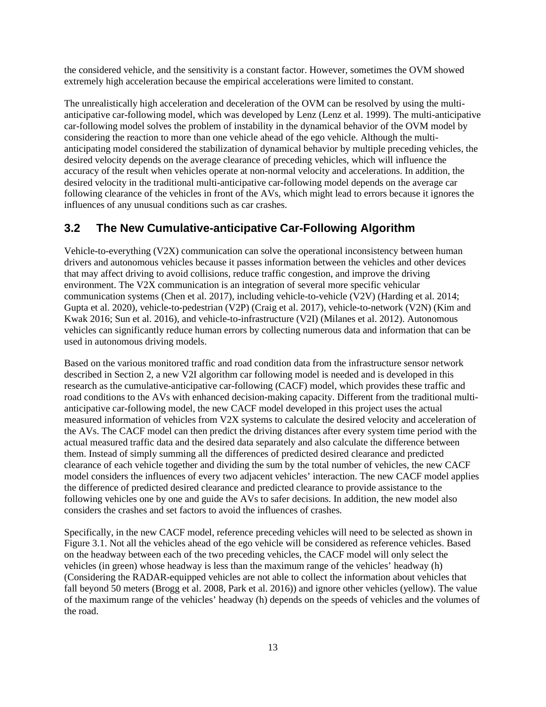the considered vehicle, and the sensitivity is a constant factor. However, sometimes the OVM showed extremely high acceleration because the empirical accelerations were limited to constant.

The unrealistically high acceleration and deceleration of the OVM can be resolved by using the multianticipative car-following model, which was developed by Lenz (Lenz et al. 1999). The multi-anticipative car-following model solves the problem of instability in the dynamical behavior of the OVM model by considering the reaction to more than one vehicle ahead of the ego vehicle. Although the multianticipating model considered the stabilization of dynamical behavior by multiple preceding vehicles, the desired velocity depends on the average clearance of preceding vehicles, which will influence the accuracy of the result when vehicles operate at non-normal velocity and accelerations. In addition, the desired velocity in the traditional multi-anticipative car-following model depends on the average car following clearance of the vehicles in front of the AVs, which might lead to errors because it ignores the influences of any unusual conditions such as car crashes.

#### <span id="page-21-0"></span>**3.2 The New Cumulative-anticipative Car-Following Algorithm**

Vehicle-to-everything (V2X) communication can solve the operational inconsistency between human drivers and autonomous vehicles because it passes information between the vehicles and other devices that may affect driving to avoid collisions, reduce traffic congestion, and improve the driving environment. The V2X communication is an integration of several more specific vehicular communication systems (Chen et al. 2017), including vehicle-to-vehicle (V2V) (Harding et al. 2014; Gupta et al. 2020), vehicle-to-pedestrian (V2P) (Craig et al. 2017), vehicle-to-network (V2N) (Kim and Kwak 2016; Sun et al. 2016), and vehicle-to-infrastructure (V2I) (Milanes et al. 2012). Autonomous vehicles can significantly reduce human errors by collecting numerous data and information that can be used in autonomous driving models.

Based on the various monitored traffic and road condition data from the infrastructure sensor network described in Section 2, a new V2I algorithm car following model is needed and is developed in this research as the cumulative-anticipative car-following (CACF) model, which provides these traffic and road conditions to the AVs with enhanced decision-making capacity. Different from the traditional multianticipative car-following model, the new CACF model developed in this project uses the actual measured information of vehicles from V2X systems to calculate the desired velocity and acceleration of the AVs. The CACF model can then predict the driving distances after every system time period with the actual measured traffic data and the desired data separately and also calculate the difference between them. Instead of simply summing all the differences of predicted desired clearance and predicted clearance of each vehicle together and dividing the sum by the total number of vehicles, the new CACF model considers the influences of every two adjacent vehicles' interaction. The new CACF model applies the difference of predicted desired clearance and predicted clearance to provide assistance to the following vehicles one by one and guide the AVs to safer decisions. In addition, the new model also considers the crashes and set factors to avoid the influences of crashes.

Specifically, in the new CACF model, reference preceding vehicles will need to be selected as shown in Figure 3.1. Not all the vehicles ahead of the ego vehicle will be considered as reference vehicles. Based on the headway between each of the two preceding vehicles, the CACF model will only select the vehicles (in green) whose headway is less than the maximum range of the vehicles' headway (h) (Considering the RADAR-equipped vehicles are not able to collect the information about vehicles that fall beyond 50 meters (Brogg et al. 2008, Park et al. 2016)) and ignore other vehicles (yellow). The value of the maximum range of the vehicles' headway (h) depends on the speeds of vehicles and the volumes of the road.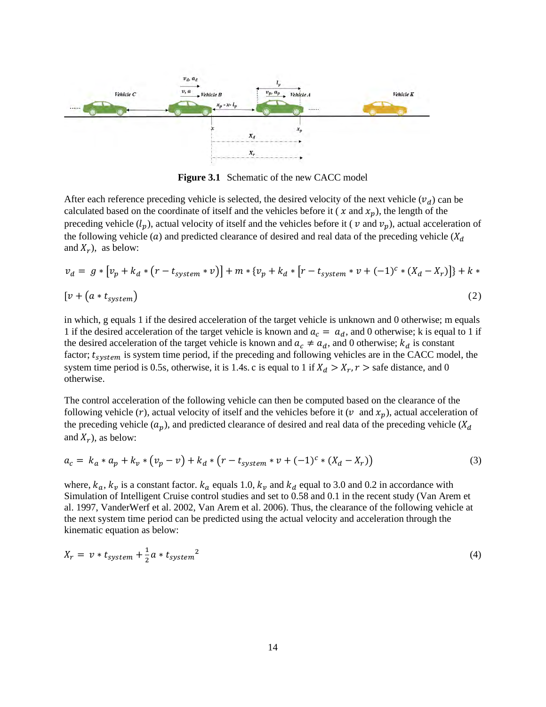

**Figure 3.1** Schematic of the new CACC model

<span id="page-22-0"></span>After each reference preceding vehicle is selected, the desired velocity of the next vehicle  $(v_d)$  can be calculated based on the coordinate of itself and the vehicles before it ( $x$  and  $x_p$ ), the length of the preceding vehicle  $(l_p)$ , actual velocity of itself and the vehicles before it (  $v$  and  $v_p$ ), actual acceleration of the following vehicle (a) and predicted clearance of desired and real data of the preceding vehicle ( $X_d$ and  $X_r$ ), as below:

$$
v_d = g * [v_p + k_d * (r - t_{system} * v)] + m * \{v_p + k_d * [r - t_{system} * v + (-1)^c * (X_d - X_r)]\} + k * [v + (a * t_{system})
$$
\n(2)

in which, g equals 1 if the desired acceleration of the target vehicle is unknown and 0 otherwise; m equals 1 if the desired acceleration of the target vehicle is known and  $a_c = a_d$ , and 0 otherwise; k is equal to 1 if the desired acceleration of the target vehicle is known and  $a_c \neq a_d$ , and 0 otherwise;  $k_d$  is constant factor;  $t_{system}$  is system time period, if the preceding and following vehicles are in the CACC model, the system time period is 0.5s, otherwise, it is 1.4s. c is equal to 1 if  $X_d > X_r$ ,  $r >$  safe distance, and 0 otherwise.

The control acceleration of the following vehicle can then be computed based on the clearance of the following vehicle (r), actual velocity of itself and the vehicles before it (v and  $x_n$ ), actual acceleration of the preceding vehicle  $(a_p)$ , and predicted clearance of desired and real data of the preceding vehicle ( $X_d$ and  $X_r$ ), as below:

$$
a_c = k_a * a_p + k_v * (v_p - v) + k_d * (r - t_{system} * v + (-1)^c * (X_d - X_r))
$$
\n(3)

where,  $k_a$ ,  $k_v$  is a constant factor.  $k_a$  equals 1.0,  $k_v$  and  $k_d$  equal to 3.0 and 0.2 in accordance with Simulation of Intelligent Cruise control studies and set to 0.58 and 0.1 in the recent study (Van Arem et al. 1997, VanderWerf et al. 2002, Van Arem et al. 2006). Thus, the clearance of the following vehicle at the next system time period can be predicted using the actual velocity and acceleration through the kinematic equation as below:

$$
X_r = v * t_{system} + \frac{1}{2}a * t_{system}^2
$$
 (4)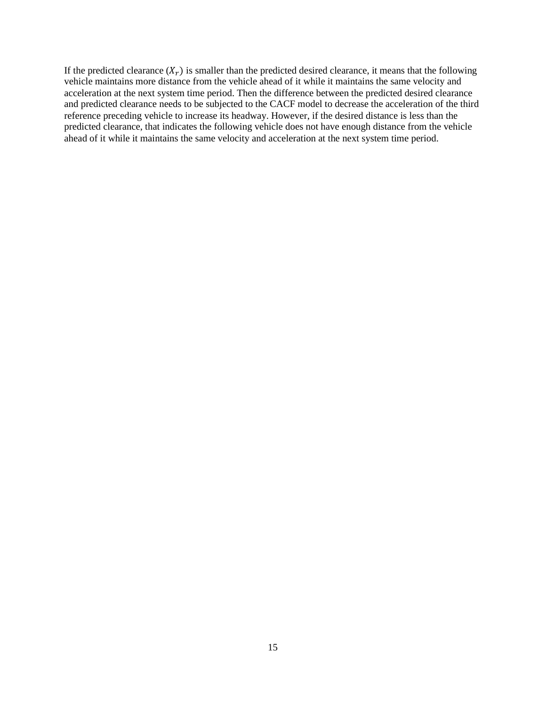<span id="page-23-0"></span>If the predicted clearance  $(X<sub>r</sub>)$  is smaller than the predicted desired clearance, it means that the following vehicle maintains more distance from the vehicle ahead of it while it maintains the same velocity and acceleration at the next system time period. Then the difference between the predicted desired clearance and predicted clearance needs to be subjected to the CACF model to decrease the acceleration of the third reference preceding vehicle to increase its headway. However, if the desired distance is less than the predicted clearance, that indicates the following vehicle does not have enough distance from the vehicle ahead of it while it maintains the same velocity and acceleration at the next system time period.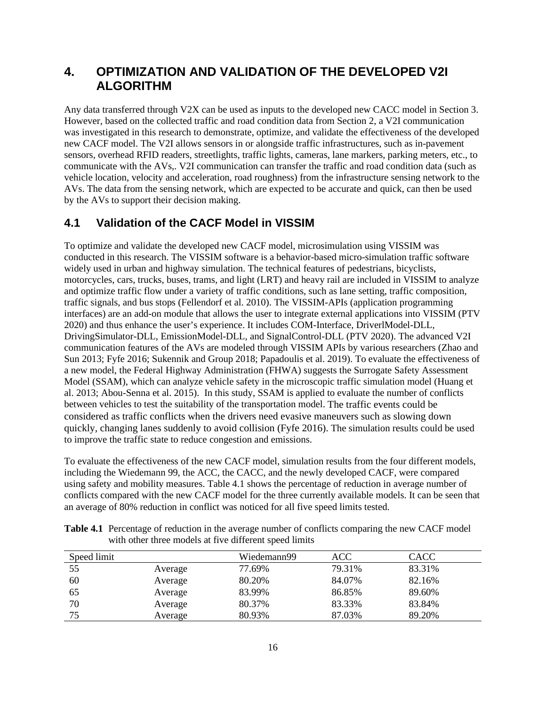# **4. OPTIMIZATION AND VALIDATION OF THE DEVELOPED V2I ALGORITHM**

Any data transferred through V2X can be used as inputs to the developed new CACC model in Section 3. However, based on the collected traffic and road condition data from Section 2, a V2I communication was investigated in this research to demonstrate, optimize, and validate the effectiveness of the developed new CACF model. The V2I allows sensors in or alongside traffic infrastructures, such as in-pavement sensors, overhead RFID readers, streetlights, traffic lights, cameras, lane markers, parking meters, etc., to communicate with the AVs,. V2I communication can transfer the traffic and road condition data (such as vehicle location, velocity and acceleration, road roughness) from the infrastructure sensing network to the AVs. The data from the sensing network, which are expected to be accurate and quick, can then be used by the AVs to support their decision making.

## <span id="page-24-0"></span>**4.1 Validation of the CACF Model in VISSIM**

To optimize and validate the developed new CACF model, microsimulation using VISSIM was conducted in this research. The VISSIM software is a behavior-based micro-simulation traffic software widely used in urban and highway simulation. The technical features of pedestrians, bicyclists, motorcycles, cars, trucks, buses, trams, and light (LRT) and heavy rail are included in VISSIM to analyze and optimize traffic flow under a variety of traffic conditions, such as lane setting, traffic composition, traffic signals, and bus stops (Fellendorf et al. 2010). The VISSIM-APIs (application programming interfaces) are an add-on module that allows the user to integrate external applications into VISSIM (PTV 2020) and thus enhance the user's experience. It includes COM-Interface, DriverlModel-DLL, DrivingSimulator-DLL, EmissionModel-DLL, and SignalControl-DLL (PTV 2020). The advanced V2I communication features of the AVs are modeled through VISSIM APIs by various researchers (Zhao and Sun 2013; Fyfe 2016; Sukennik and Group 2018; Papadoulis et al. 2019). To evaluate the effectiveness of a new model, the Federal Highway Administration (FHWA) suggests the Surrogate Safety Assessment Model (SSAM), which can analyze vehicle safety in the microscopic traffic simulation model (Huang et al. 2013; Abou-Senna et al. 2015). In this study, SSAM is applied to evaluate the number of conflicts between vehicles to test the suitability of the transportation model. The traffic events could be considered as traffic conflicts when the drivers need evasive maneuvers such as slowing down quickly, changing lanes suddenly to avoid collision (Fyfe 2016). The simulation results could be used to improve the traffic state to reduce congestion and emissions.

To evaluate the effectiveness of the new CACF model, simulation results from the four different models, including the Wiedemann 99, the ACC, the CACC, and the newly developed CACF, were compared using safety and mobility measures. Table 4.1 shows the percentage of reduction in average number of conflicts compared with the new CACF model for the three currently available models. It can be seen that an average of 80% reduction in conflict was noticed for all five speed limits tested.

| Speed limit |         | Wiedemann99 | ACC    | <b>CACC</b> |
|-------------|---------|-------------|--------|-------------|
| 55          | Average | 77.69%      | 79.31% | 83.31%      |
| 60          | Average | 80.20%      | 84.07% | 82.16%      |
| 65          | Average | 83.99%      | 86.85% | 89.60%      |
| 70          | Average | 80.37%      | 83.33% | 83.84%      |
| 75          | Average | 80.93%      | 87.03% | 89.20%      |

<span id="page-24-1"></span>**Table 4.1** Percentage of reduction in the average number of conflicts comparing the new CACF model with other three models at five different speed limits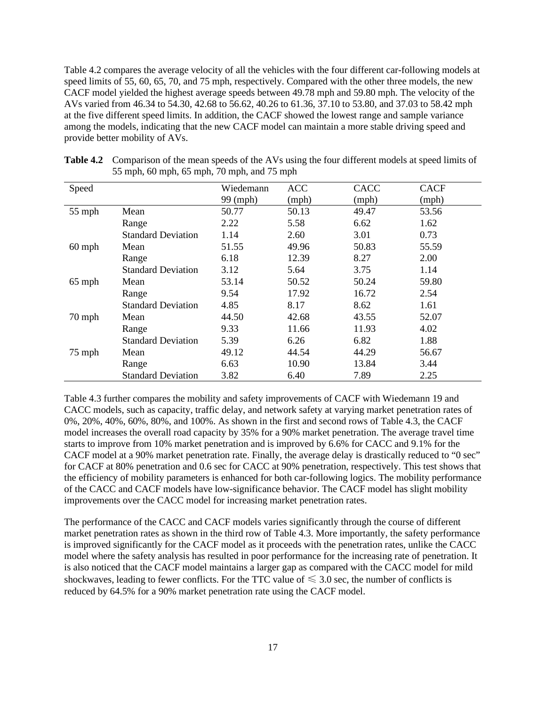Table 4.2 compares the average velocity of all the vehicles with the four different car-following models at speed limits of 55, 60, 65, 70, and 75 mph, respectively. Compared with the other three models, the new CACF model yielded the highest average speeds between 49.78 mph and 59.80 mph. The velocity of the AVs varied from 46.34 to 54.30, 42.68 to 56.62, 40.26 to 61.36, 37.10 to 53.80, and 37.03 to 58.42 mph at the five different speed limits. In addition, the CACF showed the lowest range and sample variance among the models, indicating that the new CACF model can maintain a more stable driving speed and provide better mobility of AVs.

| Speed    |                           | Wiedemann | <b>ACC</b> | CACC  | <b>CACF</b> |
|----------|---------------------------|-----------|------------|-------|-------------|
|          |                           | 99 (mph)  | (mph)      | (mph) | (mph)       |
| 55 mph   | Mean                      | 50.77     | 50.13      | 49.47 | 53.56       |
|          | Range                     | 2.22      | 5.58       | 6.62  | 1.62        |
|          | <b>Standard Deviation</b> | 1.14      | 2.60       | 3.01  | 0.73        |
| $60$ mph | Mean                      | 51.55     | 49.96      | 50.83 | 55.59       |
|          | Range                     | 6.18      | 12.39      | 8.27  | 2.00        |
|          | <b>Standard Deviation</b> | 3.12      | 5.64       | 3.75  | 1.14        |
| $65$ mph | Mean                      | 53.14     | 50.52      | 50.24 | 59.80       |
|          | Range                     | 9.54      | 17.92      | 16.72 | 2.54        |
|          | <b>Standard Deviation</b> | 4.85      | 8.17       | 8.62  | 1.61        |
| 70 mph   | Mean                      | 44.50     | 42.68      | 43.55 | 52.07       |
|          | Range                     | 9.33      | 11.66      | 11.93 | 4.02        |
|          | <b>Standard Deviation</b> | 5.39      | 6.26       | 6.82  | 1.88        |
| 75 mph   | Mean                      | 49.12     | 44.54      | 44.29 | 56.67       |
|          | Range                     | 6.63      | 10.90      | 13.84 | 3.44        |
|          | <b>Standard Deviation</b> | 3.82      | 6.40       | 7.89  | 2.25        |

<span id="page-25-0"></span>

| <b>Table 4.2</b> Comparison of the mean speeds of the AVs using the four different models at speed limits of |
|--------------------------------------------------------------------------------------------------------------|
| 55 mph, 60 mph, 65 mph, 70 mph, and 75 mph                                                                   |

Table 4.3 further compares the mobility and safety improvements of CACF with Wiedemann 19 and CACC models, such as capacity, traffic delay, and network safety at varying market penetration rates of 0%, 20%, 40%, 60%, 80%, and 100%. As shown in the first and second rows of Table 4.3, the CACF model increases the overall road capacity by 35% for a 90% market penetration. The average travel time starts to improve from 10% market penetration and is improved by 6.6% for CACC and 9.1% for the CACF model at a 90% market penetration rate. Finally, the average delay is drastically reduced to "0 sec" for CACF at 80% penetration and 0.6 sec for CACC at 90% penetration, respectively. This test shows that the efficiency of mobility parameters is enhanced for both car-following logics. The mobility performance of the CACC and CACF models have low-significance behavior. The CACF model has slight mobility improvements over the CACC model for increasing market penetration rates.

<span id="page-25-1"></span>The performance of the CACC and CACF models varies significantly through the course of different market penetration rates as shown in the third row of Table 4.3. More importantly, the safety performance is improved significantly for the CACF model as it proceeds with the penetration rates, unlike the CACC model where the safety analysis has resulted in poor performance for the increasing rate of penetration. It is also noticed that the CACF model maintains a larger gap as compared with the CACC model for mild shockwaves, leading to fewer conflicts. For the TTC value of  $\leq 3.0$  sec, the number of conflicts is reduced by 64.5% for a 90% market penetration rate using the CACF model.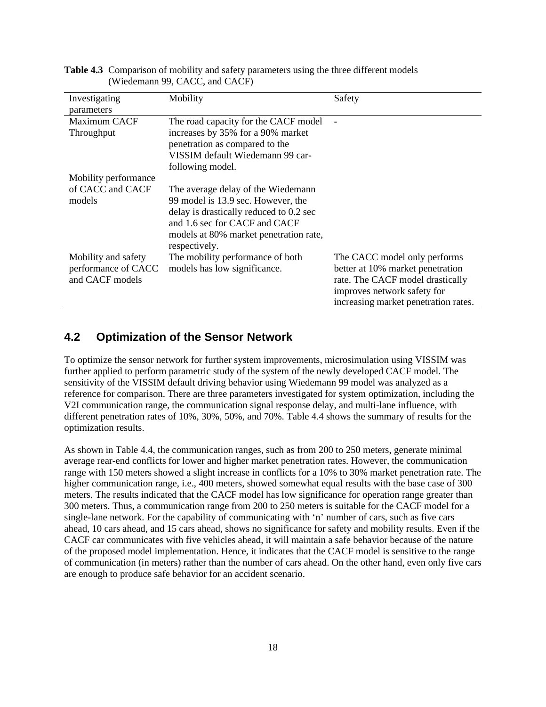| Investigating        | Mobility                                | Safety                               |
|----------------------|-----------------------------------------|--------------------------------------|
| parameters           |                                         |                                      |
| Maximum CACF         | The road capacity for the CACF model    |                                      |
| Throughput           | increases by 35% for a 90% market       |                                      |
|                      | penetration as compared to the          |                                      |
|                      | VISSIM default Wiedemann 99 car-        |                                      |
|                      | following model.                        |                                      |
| Mobility performance |                                         |                                      |
| of CACC and CACF     | The average delay of the Wiedemann      |                                      |
| models               | 99 model is 13.9 sec. However, the      |                                      |
|                      | delay is drastically reduced to 0.2 sec |                                      |
|                      | and 1.6 sec for CACF and CACF           |                                      |
|                      | models at 80% market penetration rate,  |                                      |
|                      | respectively.                           |                                      |
| Mobility and safety  | The mobility performance of both        | The CACC model only performs         |
| performance of CACC  | models has low significance.            | better at 10% market penetration     |
| and CACF models      |                                         | rate. The CACF model drastically     |
|                      |                                         | improves network safety for          |
|                      |                                         | increasing market penetration rates. |

**Table 4.3** Comparison of mobility and safety parameters using the three different models (Wiedemann 99, CACC, and CACF)

## <span id="page-26-0"></span>**4.2 Optimization of the Sensor Network**

To optimize the sensor network for further system improvements, microsimulation using VISSIM was further applied to perform parametric study of the system of the newly developed CACF model. The sensitivity of the VISSIM default driving behavior using Wiedemann 99 model was analyzed as a reference for comparison. There are three parameters investigated for system optimization, including the V2I communication range, the communication signal response delay, and multi-lane influence, with different penetration rates of 10%, 30%, 50%, and 70%. Table 4.4 shows the summary of results for the optimization results.

As shown in Table 4.4, the communication ranges, such as from 200 to 250 meters, generate minimal average rear-end conflicts for lower and higher market penetration rates. However, the communication range with 150 meters showed a slight increase in conflicts for a 10% to 30% market penetration rate. The higher communication range, i.e., 400 meters, showed somewhat equal results with the base case of 300 meters. The results indicated that the CACF model has low significance for operation range greater than 300 meters. Thus, a communication range from 200 to 250 meters is suitable for the CACF model for a single-lane network. For the capability of communicating with 'n' number of cars, such as five cars ahead, 10 cars ahead, and 15 cars ahead, shows no significance for safety and mobility results. Even if the CACF car communicates with five vehicles ahead, it will maintain a safe behavior because of the nature of the proposed model implementation. Hence, it indicates that the CACF model is sensitive to the range of communication (in meters) rather than the number of cars ahead. On the other hand, even only five cars are enough to produce safe behavior for an accident scenario.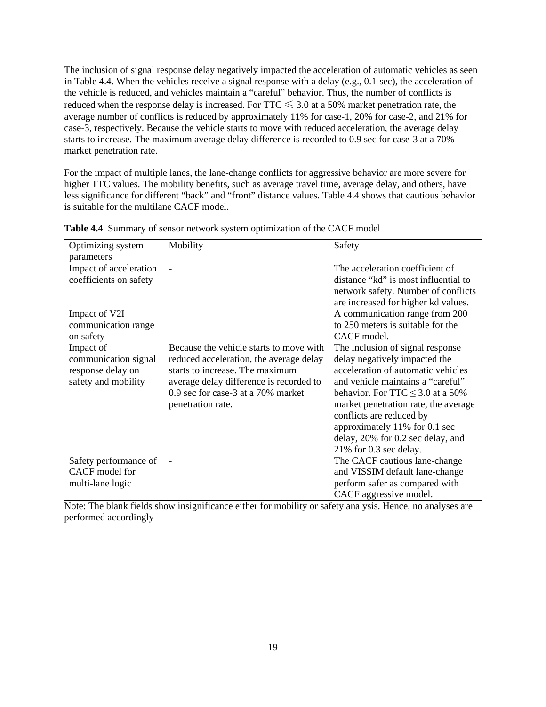The inclusion of signal response delay negatively impacted the acceleration of automatic vehicles as seen in Table 4.4. When the vehicles receive a signal response with a delay (e.g., 0.1-sec), the acceleration of the vehicle is reduced, and vehicles maintain a "careful" behavior. Thus, the number of conflicts is reduced when the response delay is increased. For  $TTC \leq 3.0$  at a 50% market penetration rate, the average number of conflicts is reduced by approximately 11% for case-1, 20% for case-2, and 21% for case-3, respectively. Because the vehicle starts to move with reduced acceleration, the average delay starts to increase. The maximum average delay difference is recorded to 0.9 sec for case-3 at a 70% market penetration rate.

For the impact of multiple lanes, the lane-change conflicts for aggressive behavior are more severe for higher TTC values. The mobility benefits, such as average travel time, average delay, and others, have less significance for different "back" and "front" distance values. Table 4.4 shows that cautious behavior is suitable for the multilane CACF model.

| Optimizing system<br>parameters                  | Mobility                                | Safety                                                                  |
|--------------------------------------------------|-----------------------------------------|-------------------------------------------------------------------------|
| Impact of acceleration<br>coefficients on safety |                                         | The acceleration coefficient of<br>distance "kd" is most influential to |
|                                                  |                                         | network safety. Number of conflicts                                     |
| Impact of V2I                                    |                                         | are increased for higher kd values.<br>A communication range from 200   |
| communication range                              |                                         | to 250 meters is suitable for the                                       |
| on safety                                        |                                         | CACF model.                                                             |
| Impact of                                        | Because the vehicle starts to move with | The inclusion of signal response                                        |
| communication signal                             | reduced acceleration, the average delay | delay negatively impacted the                                           |
| response delay on                                | starts to increase. The maximum         | acceleration of automatic vehicles                                      |
| safety and mobility                              | average delay difference is recorded to | and vehicle maintains a "careful"                                       |
|                                                  | 0.9 sec for case-3 at a 70% market      | behavior. For TTC $\leq$ 3.0 at a 50%                                   |
|                                                  | penetration rate.                       | market penetration rate, the average                                    |
|                                                  |                                         | conflicts are reduced by                                                |
|                                                  |                                         | approximately 11% for 0.1 sec                                           |
|                                                  |                                         | delay, 20% for 0.2 sec delay, and                                       |
|                                                  |                                         | 21% for 0.3 sec delay.                                                  |
| Safety performance of                            |                                         | The CACF cautious lane-change                                           |
| CACF model for                                   |                                         | and VISSIM default lane-change                                          |
| multi-lane logic                                 |                                         | perform safer as compared with                                          |
|                                                  |                                         | CACF aggressive model.                                                  |

<span id="page-27-0"></span>**Table 4.4** Summary of sensor network system optimization of the CACF model

Note: The blank fields show insignificance either for mobility or safety analysis. Hence, no analyses are performed accordingly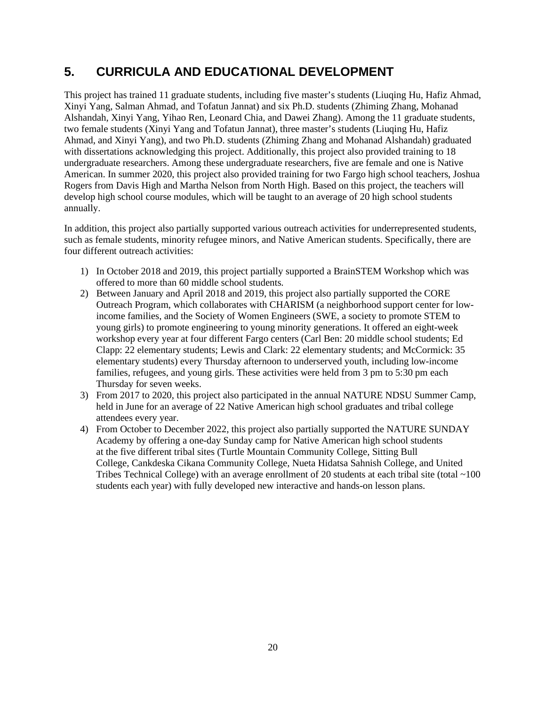# <span id="page-28-0"></span>**5. CURRICULA AND EDUCATIONAL DEVELOPMENT**

This project has trained 11 graduate students, including five master's students (Liuqing Hu, Hafiz Ahmad, Xinyi Yang, Salman Ahmad, and Tofatun Jannat) and six Ph.D. students (Zhiming Zhang, Mohanad Alshandah, Xinyi Yang, Yihao Ren, Leonard Chia, and Dawei Zhang). Among the 11 graduate students, two female students (Xinyi Yang and Tofatun Jannat), three master's students (Liuqing Hu, Hafiz Ahmad, and Xinyi Yang), and two Ph.D. students (Zhiming Zhang and Mohanad Alshandah) graduated with dissertations acknowledging this project. Additionally, this project also provided training to 18 undergraduate researchers. Among these undergraduate researchers, five are female and one is Native American. In summer 2020, this project also provided training for two Fargo high school teachers, Joshua Rogers from Davis High and Martha Nelson from North High. Based on this project, the teachers will develop high school course modules, which will be taught to an average of 20 high school students annually.

In addition, this project also partially supported various outreach activities for underrepresented students, such as female students, minority refugee minors, and Native American students. Specifically, there are four different outreach activities:

- 1) In October 2018 and 2019, this project partially supported a BrainSTEM Workshop which was offered to more than 60 middle school students.
- 2) Between January and April 2018 and 2019, this project also partially supported the CORE Outreach Program, which collaborates with CHARISM (a neighborhood support center for lowincome families, and the Society of Women Engineers (SWE, a society to promote STEM to young girls) to promote engineering to young minority generations. It offered an eight-week workshop every year at four different Fargo centers (Carl Ben: 20 middle school students; Ed Clapp: 22 elementary students; Lewis and Clark: 22 elementary students; and McCormick: 35 elementary students) every Thursday afternoon to underserved youth, including low-income families, refugees, and young girls. These activities were held from 3 pm to 5:30 pm each Thursday for seven weeks.
- 3) From 2017 to 2020, this project also participated in the annual NATURE NDSU Summer Camp, held in June for an average of 22 Native American high school graduates and tribal college attendees every year.
- 4) From October to December 2022, this project also partially supported the NATURE SUNDAY Academy by offering a one-day Sunday camp for Native American high school students at the five different tribal sites (Turtle Mountain Community College, Sitting Bull College, Cankdeska Cikana Community College, Nueta Hidatsa Sahnish College, and United Tribes Technical College) with an average enrollment of 20 students at each tribal site (total ~100 students each year) with fully developed new interactive and hands-on lesson plans.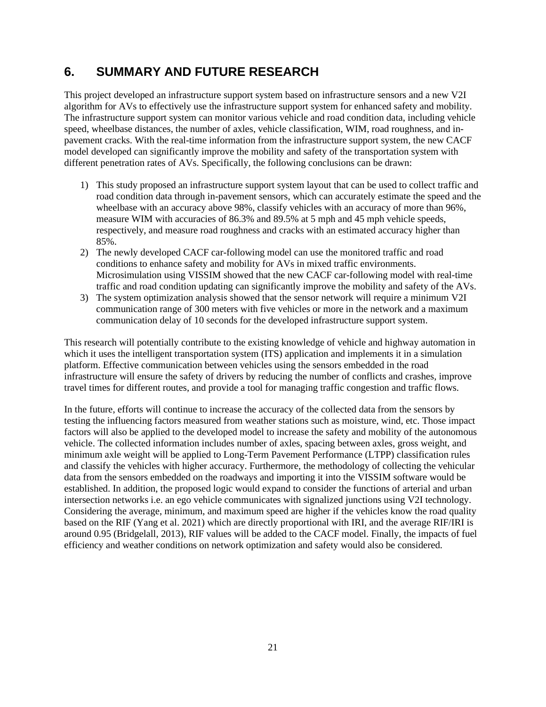# <span id="page-29-0"></span>**6. SUMMARY AND FUTURE RESEARCH**

This project developed an infrastructure support system based on infrastructure sensors and a new V2I algorithm for AVs to effectively use the infrastructure support system for enhanced safety and mobility. The infrastructure support system can monitor various vehicle and road condition data, including vehicle speed, wheelbase distances, the number of axles, vehicle classification, WIM, road roughness, and inpavement cracks. With the real-time information from the infrastructure support system, the new CACF model developed can significantly improve the mobility and safety of the transportation system with different penetration rates of AVs. Specifically, the following conclusions can be drawn:

- 1) This study proposed an infrastructure support system layout that can be used to collect traffic and road condition data through in-pavement sensors, which can accurately estimate the speed and the wheelbase with an accuracy above 98%, classify vehicles with an accuracy of more than 96%, measure WIM with accuracies of 86.3% and 89.5% at 5 mph and 45 mph vehicle speeds, respectively, and measure road roughness and cracks with an estimated accuracy higher than 85%.
- 2) The newly developed CACF car-following model can use the monitored traffic and road conditions to enhance safety and mobility for AVs in mixed traffic environments. Microsimulation using VISSIM showed that the new CACF car-following model with real-time traffic and road condition updating can significantly improve the mobility and safety of the AVs.
- 3) The system optimization analysis showed that the sensor network will require a minimum V2I communication range of 300 meters with five vehicles or more in the network and a maximum communication delay of 10 seconds for the developed infrastructure support system.

This research will potentially contribute to the existing knowledge of vehicle and highway automation in which it uses the intelligent transportation system (ITS) application and implements it in a simulation platform. Effective communication between vehicles using the sensors embedded in the road infrastructure will ensure the safety of drivers by reducing the number of conflicts and crashes, improve travel times for different routes, and provide a tool for managing traffic congestion and traffic flows.

In the future, efforts will continue to increase the accuracy of the collected data from the sensors by testing the influencing factors measured from weather stations such as moisture, wind, etc. Those impact factors will also be applied to the developed model to increase the safety and mobility of the autonomous vehicle. The collected information includes number of axles, spacing between axles, gross weight, and minimum axle weight will be applied to Long-Term Pavement Performance (LTPP) classification rules and classify the vehicles with higher accuracy. Furthermore, the methodology of collecting the vehicular data from the sensors embedded on the roadways and importing it into the VISSIM software would be established. In addition, the proposed logic would expand to consider the functions of arterial and urban intersection networks i.e. an ego vehicle communicates with signalized junctions using V2I technology. Considering the average, minimum, and maximum speed are higher if the vehicles know the road quality based on the RIF (Yang et al. 2021) which are directly proportional with IRI, and the average RIF/IRI is around 0.95 (Bridgelall, 2013), RIF values will be added to the CACF model. Finally, the impacts of fuel efficiency and weather conditions on network optimization and safety would also be considered.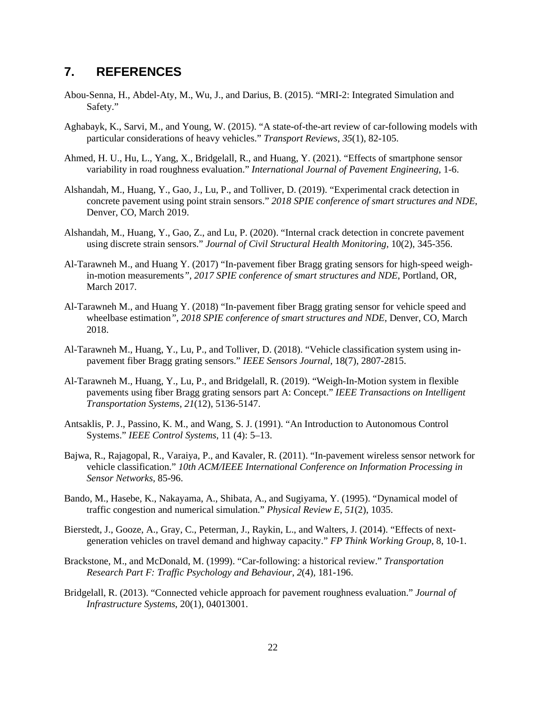## <span id="page-30-0"></span>**7. REFERENCES**

- Abou-Senna, H., Abdel-Aty, M., Wu, J., and Darius, B. (2015). "MRI-2: Integrated Simulation and Safety."
- Aghabayk, K., Sarvi, M., and Young, W. (2015). "A state-of-the-art review of car-following models with particular considerations of heavy vehicles." *Transport Reviews*, *35*(1), 82-105.
- Ahmed, H. U., Hu, L., Yang, X., Bridgelall, R., and Huang, Y. (2021). "Effects of smartphone sensor variability in road roughness evaluation." *International Journal of Pavement Engineering*, 1-6.
- Alshandah, M., Huang, Y., Gao, J., Lu, P., and Tolliver, D. (2019). "Experimental crack detection in concrete pavement using point strain sensors." *2018 SPIE conference of smart structures and NDE*, Denver, CO, March 2019.
- Alshandah, M., Huang, Y., Gao, Z., and Lu, P. (2020). "Internal crack detection in concrete pavement using discrete strain sensors." *Journal of Civil Structural Health Monitoring,* 10(2), 345-356.
- Al-Tarawneh M., and Huang Y. (2017) "In-pavement fiber Bragg grating sensors for high-speed weighin-motion measurements*", 2017 SPIE conference of smart structures and NDE*, Portland, OR, March 2017.
- Al-Tarawneh M., and Huang Y. (2018) "In-pavement fiber Bragg grating sensor for vehicle speed and wheelbase estimation*", 2018 SPIE conference of smart structures and NDE*, Denver, CO, March 2018.
- Al-Tarawneh M., Huang, Y., Lu, P., and Tolliver, D. (2018). "Vehicle classification system using inpavement fiber Bragg grating sensors." *IEEE Sensors Journal*, 18(7), 2807-2815.
- Al-Tarawneh M., Huang, Y., Lu, P., and Bridgelall, R. (2019). "Weigh-In-Motion system in flexible pavements using fiber Bragg grating sensors part A: Concept." *IEEE Transactions on Intelligent Transportation Systems*, *21*(12), 5136-5147.
- Antsaklis, P. J., Passino, K. M., and Wang, S. J. (1991). "An Introduction to Autonomous Control Systems." *IEEE Control Systems*, 11 (4): 5–13.
- Bajwa, R., Rajagopal, R., Varaiya, P., and Kavaler, R. (2011). "In-pavement wireless sensor network for vehicle classification." *10th ACM/IEEE International Conference on Information Processing in Sensor Networks,* 85-96.
- Bando, M., Hasebe, K., Nakayama, A., Shibata, A., and Sugiyama, Y. (1995). "Dynamical model of traffic congestion and numerical simulation." *Physical Review E*, *51*(2), 1035.
- Bierstedt, J., Gooze, A., Gray, C., Peterman, J., Raykin, L., and Walters, J. (2014). "Effects of nextgeneration vehicles on travel demand and highway capacity." *FP Think Working Group*, 8, 10-1.
- Brackstone, M., and McDonald, M. (1999). "Car-following: a historical review." *Transportation Research Part F: Traffic Psychology and Behaviour*, *2*(4), 181-196.
- Bridgelall, R. (2013). "Connected vehicle approach for pavement roughness evaluation." *Journal of Infrastructure Systems*, 20(1), 04013001.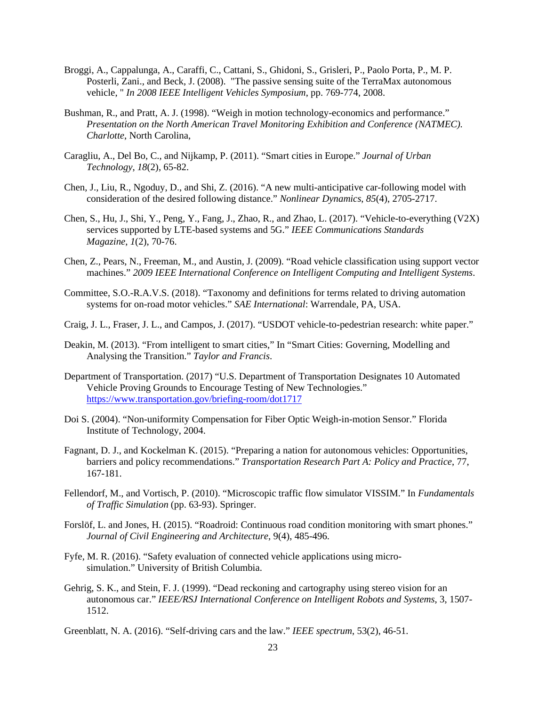- Broggi, A., Cappalunga, A., Caraffi, C., Cattani, S., Ghidoni, S., Grisleri, P., Paolo Porta, P., M. P. Posterli, Zani., and Beck, J. (2008). "The passive sensing suite of the TerraMax autonomous vehicle, " *In 2008 IEEE Intelligent Vehicles Symposium*, pp. 769-774, 2008.
- Bushman, R., and Pratt, A. J. (1998). "Weigh in motion technology-economics and performance." *Presentation on the North American Travel Monitoring Exhibition and Conference (NATMEC). Charlotte*, North Carolina,
- Caragliu, A., Del Bo, C., and Nijkamp, P. (2011). "Smart cities in Europe." *Journal of Urban Technology*, *18*(2), 65-82.
- Chen, J., Liu, R., Ngoduy, D., and Shi, Z. (2016). "A new multi-anticipative car-following model with consideration of the desired following distance." *Nonlinear Dynamics*, *85*(4), 2705-2717.
- Chen, S., Hu, J., Shi, Y., Peng, Y., Fang, J., Zhao, R., and Zhao, L. (2017). "Vehicle-to-everything (V2X) services supported by LTE-based systems and 5G." *IEEE Communications Standards Magazine*, *1*(2), 70-76.
- Chen, Z., Pears, N., Freeman, M., and Austin, J. (2009). "Road vehicle classification using support vector machines." *2009 IEEE International Conference on Intelligent Computing and Intelligent Systems*.
- Committee, S.O.-R.A.V.S. (2018). "Taxonomy and definitions for terms related to driving automation systems for on-road motor vehicles." *SAE International*: Warrendale, PA, USA.
- Craig, J. L., Fraser, J. L., and Campos, J. (2017). "USDOT vehicle-to-pedestrian research: white paper."
- Deakin, M. (2013). "From intelligent to smart cities," In "Smart Cities: Governing, Modelling and Analysing the Transition." *Taylor and Francis*.
- Department of Transportation. (2017) "U.S. Department of Transportation Designates 10 Automated Vehicle Proving Grounds to Encourage Testing of New Technologies." <https://www.transportation.gov/briefing-room/dot1717>
- Doi S. (2004). "Non-uniformity Compensation for Fiber Optic Weigh-in-motion Sensor." Florida Institute of Technology, 2004.
- Fagnant, D. J., and Kockelman K. (2015). "Preparing a nation for autonomous vehicles: Opportunities, barriers and policy recommendations." *Transportation Research Part A: Policy and Practice*, 77, 167-181.
- Fellendorf, M., and Vortisch, P. (2010). "Microscopic traffic flow simulator VISSIM." In *Fundamentals of Traffic Simulation* (pp. 63-93). Springer.
- Forslöf, L. and Jones, H. (2015). "Roadroid: Continuous road condition monitoring with smart phones." *Journal of Civil Engineering and Architecture*, 9(4), 485-496.
- Fyfe, M. R. (2016). "Safety evaluation of connected vehicle applications using microsimulation." University of British Columbia.
- Gehrig, S. K., and Stein, F. J. (1999). "Dead reckoning and cartography using stereo vision for an autonomous car." *IEEE/RSJ International Conference on Intelligent Robots and Systems*, 3, 1507- 1512.
- Greenblatt, N. A. (2016). "Self-driving cars and the law." *IEEE spectrum*, 53(2), 46-51.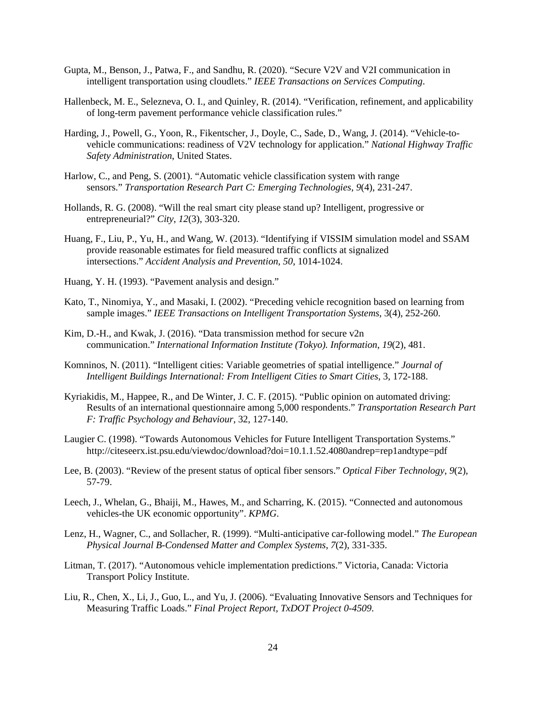- Gupta, M., Benson, J., Patwa, F., and Sandhu, R. (2020). "Secure V2V and V2I communication in intelligent transportation using cloudlets." *IEEE Transactions on Services Computing*.
- Hallenbeck, M. E., Selezneva, O. I., and Quinley, R. (2014). "Verification, refinement, and applicability of long-term pavement performance vehicle classification rules."
- Harding, J., Powell, G., Yoon, R., Fikentscher, J., Doyle, C., Sade, D., Wang, J. (2014). "Vehicle-tovehicle communications: readiness of V2V technology for application." *National Highway Traffic Safety Administration*, United States.
- Harlow, C., and Peng, S. (2001). "Automatic vehicle classification system with range sensors." *Transportation Research Part C: Emerging Technologies*, *9*(4), 231-247.
- Hollands, R. G. (2008). "Will the real smart city please stand up? Intelligent, progressive or entrepreneurial?" *City*, *12*(3), 303-320.
- Huang, F., Liu, P., Yu, H., and Wang, W. (2013). "Identifying if VISSIM simulation model and SSAM provide reasonable estimates for field measured traffic conflicts at signalized intersections." *Accident Analysis and Prevention*, *50*, 1014-1024.
- Huang, Y. H. (1993). "Pavement analysis and design."
- Kato, T., Ninomiya, Y., and Masaki, I. (2002). "Preceding vehicle recognition based on learning from sample images." *IEEE Transactions on Intelligent Transportation Systems*, 3(4), 252-260.
- Kim, D.-H., and Kwak, J. (2016). "Data transmission method for secure v2n communication." *International Information Institute (Tokyo). Information*, *19*(2), 481.
- Komninos, N. (2011). "Intelligent cities: Variable geometries of spatial intelligence." *Journal of Intelligent Buildings International: From Intelligent Cities to Smart Cities*, 3, 172-188.
- Kyriakidis, M., Happee, R., and De Winter, J. C. F. (2015). "Public opinion on automated driving: Results of an international questionnaire among 5,000 respondents." *Transportation Research Part F: Traffic Psychology and Behaviour*, 32, 127-140.
- Laugier C. (1998). "Towards Autonomous Vehicles for Future Intelligent Transportation Systems." http://citeseerx.ist.psu.edu/viewdoc/download?doi=10.1.1.52.4080andrep=rep1andtype=pdf
- Lee, B. (2003). "Review of the present status of optical fiber sensors." *Optical Fiber Technology*, *9*(2), 57-79.
- Leech, J., Whelan, G., Bhaiji, M., Hawes, M., and Scharring, K. (2015). "Connected and autonomous vehicles-the UK economic opportunity". *KPMG*.
- Lenz, H., Wagner, C., and Sollacher, R. (1999). "Multi-anticipative car-following model." *The European Physical Journal B-Condensed Matter and Complex Systems*, *7*(2), 331-335.
- Litman, T. (2017). "Autonomous vehicle implementation predictions." Victoria, Canada: Victoria Transport Policy Institute.
- Liu, R., Chen, X., Li, J., Guo, L., and Yu, J. (2006). "Evaluating Innovative Sensors and Techniques for Measuring Traffic Loads." *Final Project Report, TxDOT Project 0-4509*.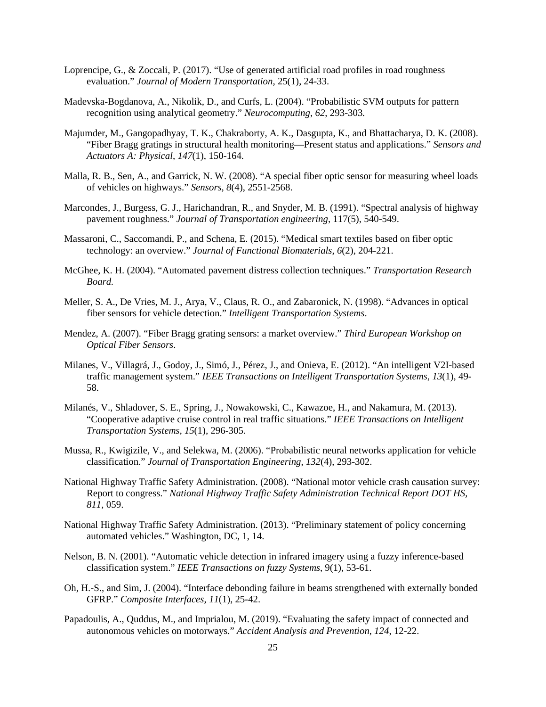- Loprencipe, G., & Zoccali, P. (2017). "Use of generated artificial road profiles in road roughness evaluation." *Journal of Modern Transportation*, 25(1), 24-33.
- Madevska-Bogdanova, A., Nikolik, D., and Curfs, L. (2004). "Probabilistic SVM outputs for pattern recognition using analytical geometry." *Neurocomputing*, *62*, 293-303.
- Majumder, M., Gangopadhyay, T. K., Chakraborty, A. K., Dasgupta, K., and Bhattacharya, D. K. (2008). "Fiber Bragg gratings in structural health monitoring—Present status and applications." *Sensors and Actuators A: Physical*, *147*(1), 150-164.
- Malla, R. B., Sen, A., and Garrick, N. W. (2008). "A special fiber optic sensor for measuring wheel loads of vehicles on highways." *Sensors*, *8*(4), 2551-2568.
- Marcondes, J., Burgess, G. J., Harichandran, R., and Snyder, M. B. (1991). "Spectral analysis of highway pavement roughness." *Journal of Transportation engineering*, 117(5), 540-549.
- Massaroni, C., Saccomandi, P., and Schena, E. (2015). "Medical smart textiles based on fiber optic technology: an overview." *Journal of Functional Biomaterials*, *6*(2), 204-221.
- McGhee, K. H. (2004). "Automated pavement distress collection techniques." *Transportation Research Board.*
- Meller, S. A., De Vries, M. J., Arya, V., Claus, R. O., and Zabaronick, N. (1998). "Advances in optical fiber sensors for vehicle detection." *Intelligent Transportation Systems*.
- Mendez, A. (2007). "Fiber Bragg grating sensors: a market overview." *Third European Workshop on Optical Fiber Sensors*.
- Milanes, V., Villagrá, J., Godoy, J., Simó, J., Pérez, J., and Onieva, E. (2012). "An intelligent V2I-based traffic management system." *IEEE Transactions on Intelligent Transportation Systems*, *13*(1), 49- 58.
- Milanés, V., Shladover, S. E., Spring, J., Nowakowski, C., Kawazoe, H., and Nakamura, M. (2013). "Cooperative adaptive cruise control in real traffic situations." *IEEE Transactions on Intelligent Transportation Systems*, *15*(1), 296-305.
- Mussa, R., Kwigizile, V., and Selekwa, M. (2006). "Probabilistic neural networks application for vehicle classification." *Journal of Transportation Engineering*, *132*(4), 293-302.
- National Highway Traffic Safety Administration. (2008). "National motor vehicle crash causation survey: Report to congress." *National Highway Traffic Safety Administration Technical Report DOT HS, 811,* 059.
- National Highway Traffic Safety Administration. (2013). "Preliminary statement of policy concerning automated vehicles." Washington, DC, 1, 14.
- Nelson, B. N. (2001). "Automatic vehicle detection in infrared imagery using a fuzzy inference-based classification system." *IEEE Transactions on fuzzy Systems*, 9(1), 53-61.
- Oh, H.-S., and Sim, J. (2004). "Interface debonding failure in beams strengthened with externally bonded GFRP." *Composite Interfaces*, *11*(1), 25-42.
- Papadoulis, A., Quddus, M., and Imprialou, M. (2019). "Evaluating the safety impact of connected and autonomous vehicles on motorways." *Accident Analysis and Prevention*, *124*, 12-22.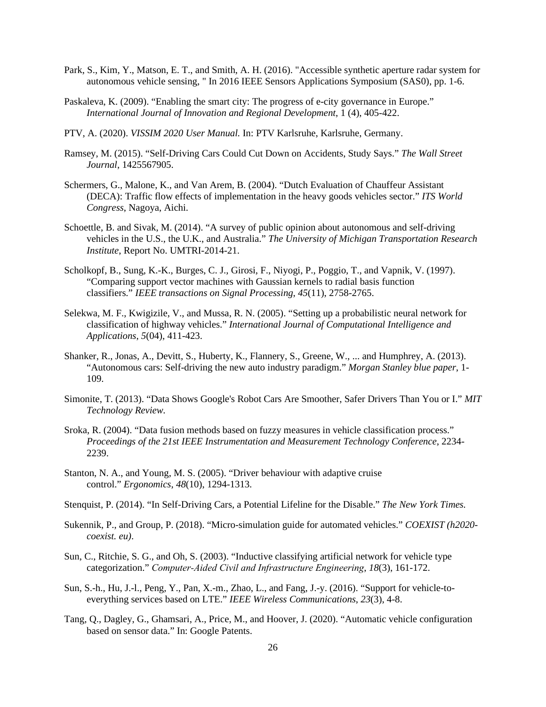- Park, S., Kim, Y., Matson, E. T., and Smith, A. H. (2016). "Accessible synthetic aperture radar system for autonomous vehicle sensing, " In 2016 IEEE Sensors Applications Symposium (SAS0), pp. 1-6.
- Paskaleva, K. (2009). "Enabling the smart city: The progress of e-city governance in Europe." *International Journal of Innovation and Regional Development*, 1 (4), 405-422.
- PTV, A. (2020). *VISSIM 2020 User Manual.* In: PTV Karlsruhe, Karlsruhe, Germany.
- Ramsey, M. (2015). "Self-Driving Cars Could Cut Down on Accidents, Study Says." *The Wall Street Journal*, 1425567905.
- Schermers, G., Malone, K., and Van Arem, B. (2004). "Dutch Evaluation of Chauffeur Assistant (DECA): Traffic flow effects of implementation in the heavy goods vehicles sector." *ITS World Congress*, Nagoya, Aichi.
- Schoettle, B. and Sivak, M. (2014). "A survey of public opinion about autonomous and self-driving vehicles in the U.S., the U.K., and Australia." *The University of Michigan Transportation Research Institute*, Report No. UMTRI-2014-21.
- Scholkopf, B., Sung, K.-K., Burges, C. J., Girosi, F., Niyogi, P., Poggio, T., and Vapnik, V. (1997). "Comparing support vector machines with Gaussian kernels to radial basis function classifiers." *IEEE transactions on Signal Processing*, *45*(11), 2758-2765.
- Selekwa, M. F., Kwigizile, V., and Mussa, R. N. (2005). "Setting up a probabilistic neural network for classification of highway vehicles." *International Journal of Computational Intelligence and Applications*, *5*(04), 411-423.
- Shanker, R., Jonas, A., Devitt, S., Huberty, K., Flannery, S., Greene, W., ... and Humphrey, A. (2013). "Autonomous cars: Self-driving the new auto industry paradigm." *Morgan Stanley blue paper*, 1- 109.
- Simonite, T. (2013). "Data Shows Google's Robot Cars Are Smoother, Safer Drivers Than You or I." *MIT Technology Review.*
- Sroka, R. (2004). "Data fusion methods based on fuzzy measures in vehicle classification process." *Proceedings of the 21st IEEE Instrumentation and Measurement Technology Conference*, 2234- 2239.
- Stanton, N. A., and Young, M. S. (2005). "Driver behaviour with adaptive cruise control." *Ergonomics*, *48*(10), 1294-1313.
- Stenquist, P. (2014). "In Self-Driving Cars, a Potential Lifeline for the Disable." *The New York Times.*
- Sukennik, P., and Group, P. (2018). "Micro-simulation guide for automated vehicles." *COEXIST (h2020 coexist. eu)*.
- Sun, C., Ritchie, S. G., and Oh, S. (2003). "Inductive classifying artificial network for vehicle type categorization." *Computer‐Aided Civil and Infrastructure Engineering*, *18*(3), 161-172.
- Sun, S.-h., Hu, J.-l., Peng, Y., Pan, X.-m., Zhao, L., and Fang, J.-y. (2016). "Support for vehicle-toeverything services based on LTE." *IEEE Wireless Communications*, *23*(3), 4-8.
- Tang, Q., Dagley, G., Ghamsari, A., Price, M., and Hoover, J. (2020). "Automatic vehicle configuration based on sensor data." In: Google Patents.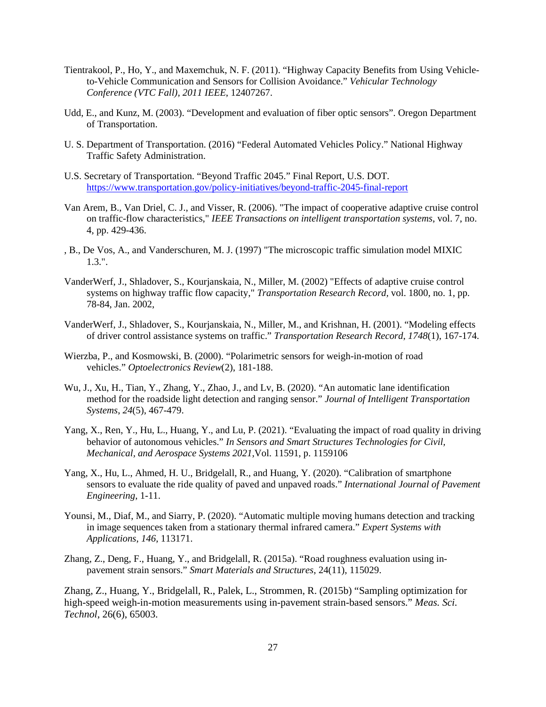- Tientrakool, P., Ho, Y., and Maxemchuk, N. F. (2011). "Highway Capacity Benefits from Using Vehicleto-Vehicle Communication and Sensors for Collision Avoidance." *Vehicular Technology Conference (VTC Fall), 2011 IEEE*, 12407267.
- Udd, E., and Kunz, M. (2003). "Development and evaluation of fiber optic sensors". Oregon Department of Transportation.
- U. S. Department of Transportation. (2016) "Federal Automated Vehicles Policy." National Highway Traffic Safety Administration.
- U.S. Secretary of Transportation. "Beyond Traffic 2045." Final Report, U.S. DOT. <https://www.transportation.gov/policy-initiatives/beyond-traffic-2045-final-report>
- Van Arem, B., Van Driel, C. J., and Visser, R. (2006). "The impact of cooperative adaptive cruise control on traffic-flow characteristics," *IEEE Transactions on intelligent transportation systems*, vol. 7, no. 4, pp. 429-436.
- , B., De Vos, A., and Vanderschuren, M. J. (1997) "The microscopic traffic simulation model MIXIC 1.3.".
- VanderWerf, J., Shladover, S., Kourjanskaia, N., Miller, M. (2002) "Effects of adaptive cruise control systems on highway traffic flow capacity," *Transportation Research Record,* vol. 1800, no. 1, pp. 78-84, Jan. 2002,
- VanderWerf, J., Shladover, S., Kourjanskaia, N., Miller, M., and Krishnan, H. (2001). "Modeling effects of driver control assistance systems on traffic." *Transportation Research Record*, *1748*(1), 167-174.
- Wierzba, P., and Kosmowski, B. (2000). "Polarimetric sensors for weigh-in-motion of road vehicles." *Optoelectronics Review*(2), 181-188.
- Wu, J., Xu, H., Tian, Y., Zhang, Y., Zhao, J., and Lv, B. (2020). "An automatic lane identification method for the roadside light detection and ranging sensor." *Journal of Intelligent Transportation Systems*, *24*(5), 467-479.
- Yang, X., Ren, Y., Hu, L., Huang, Y., and Lu, P. (2021). "Evaluating the impact of road quality in driving behavior of autonomous vehicles." *In Sensors and Smart Structures Technologies for Civil, Mechanical, and Aerospace Systems 2021*,Vol. 11591, p. 1159106
- Yang, X., Hu, L., Ahmed, H. U., Bridgelall, R., and Huang, Y. (2020). "Calibration of smartphone sensors to evaluate the ride quality of paved and unpaved roads." *International Journal of Pavement Engineering*, 1-11.
- Younsi, M., Diaf, M., and Siarry, P. (2020). "Automatic multiple moving humans detection and tracking in image sequences taken from a stationary thermal infrared camera." *Expert Systems with Applications*, *146*, 113171.
- Zhang, Z., Deng, F., Huang, Y., and Bridgelall, R. (2015a). "Road roughness evaluation using inpavement strain sensors." *Smart Materials and Structures*, 24(11), 115029.

Zhang, Z., Huang, Y., Bridgelall, R., Palek, L., Strommen, R. (2015b) "Sampling optimization for high-speed weigh-in-motion measurements using in-pavement strain-based sensors." *Meas. Sci. Technol*, 26(6), 65003.